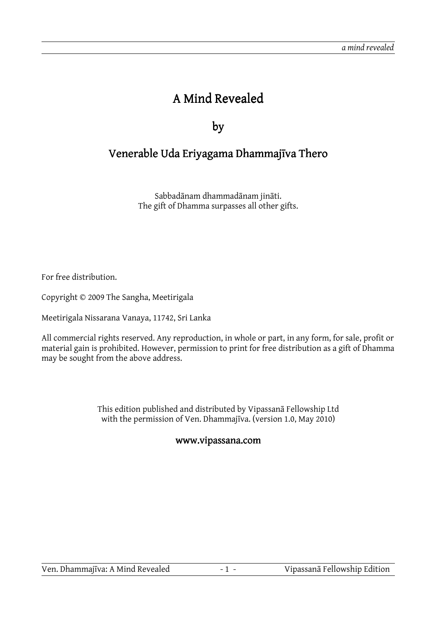# A Mind Revealed

by

## Venerable Uda Eriyagama Dhammajīva Thero

Sabbadānam dhammadānam jināti. The gift of Dhamma surpasses all other gifts.

For free distribution.

Copyright © 2009 The Sangha, Meetirigala

Meetirigala Nissarana Vanaya, 11742, Sri Lanka

All commercial rights reserved. Any reproduction, in whole or part, in any form, for sale, profit or material gain is prohibited. However, permission to print for free distribution as a gift of Dhamma may be sought from the above address.

> This edition published and distributed by Vipassanā Fellowship Ltd with the permission of Ven. Dhammajīva. (version 1.0, May 2010)

#### www.vipassana.com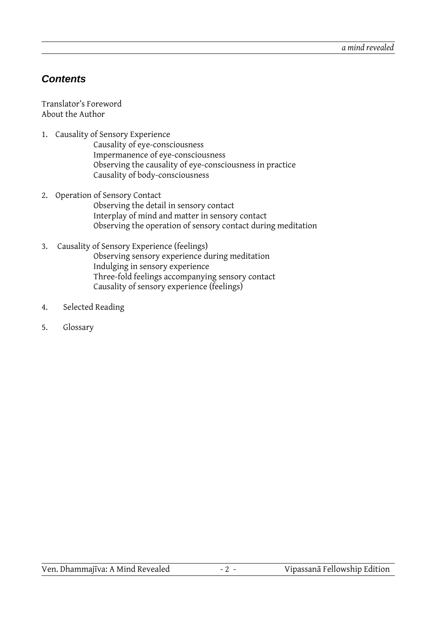#### **Contents**

Translator's Foreword About the Author

- 1. Causality of Sensory Experience
	- Causality of eye-consciousness Impermanence of eye-consciousness Observing the causality of eye-consciousness in practice Causality of body-consciousness
- 2. Operation of Sensory Contact Observing the detail in sensory contact Interplay of mind and matter in sensory contact Observing the operation of sensory contact during meditation
- 3. Causality of Sensory Experience (feelings) Observing sensory experience during meditation Indulging in sensory experience Three-fold feelings accompanying sensory contact Causality of sensory experience (feelings)
- 4. Selected Reading
- 5. Glossary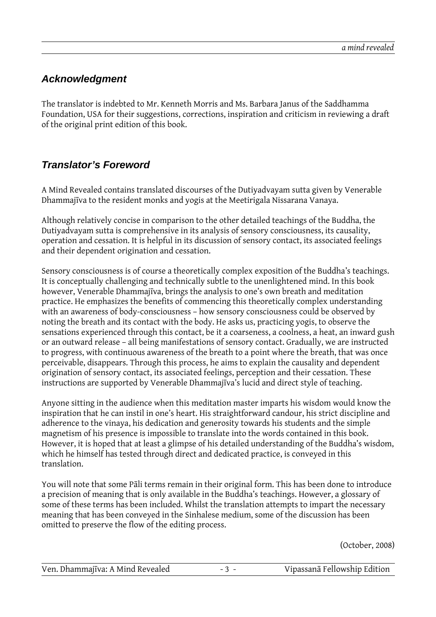#### **Acknowledgment**

The translator is indebted to Mr. Kenneth Morris and Ms. Barbara Janus of the Saddhamma Foundation, USA for their suggestions, corrections, inspiration and criticism in reviewing a draft of the original print edition of this book.

#### **Translator's Foreword**

A Mind Revealed contains translated discourses of the Dutiyadvayam sutta given by Venerable Dhammajīva to the resident monks and yogis at the Meetirigala Nissarana Vanaya.

Although relatively concise in comparison to the other detailed teachings of the Buddha, the Dutiyadvayam sutta is comprehensive in its analysis of sensory consciousness, its causality, operation and cessation. It is helpful in its discussion of sensory contact, its associated feelings and their dependent origination and cessation.

Sensory consciousness is of course a theoretically complex exposition of the Buddha's teachings. It is conceptually challenging and technically subtle to the unenlightened mind. In this book however, Venerable Dhammajīva, brings the analysis to one's own breath and meditation practice. He emphasizes the benefits of commencing this theoretically complex understanding with an awareness of body-consciousness – how sensory consciousness could be observed by noting the breath and its contact with the body. He asks us, practicing yogis, to observe the sensations experienced through this contact, be it a coarseness, a coolness, a heat, an inward gush or an outward release – all being manifestations of sensory contact. Gradually, we are instructed to progress, with continuous awareness of the breath to a point where the breath, that was once perceivable, disappears. Through this process, he aims to explain the causality and dependent origination of sensory contact, its associated feelings, perception and their cessation. These instructions are supported by Venerable Dhammajīva's lucid and direct style of teaching.

Anyone sitting in the audience when this meditation master imparts his wisdom would know the inspiration that he can instil in one's heart. His straightforward candour, his strict discipline and adherence to the vinaya, his dedication and generosity towards his students and the simple magnetism of his presence is impossible to translate into the words contained in this book. However, it is hoped that at least a glimpse of his detailed understanding of the Buddha's wisdom, which he himself has tested through direct and dedicated practice, is conveyed in this translation.

You will note that some Pāli terms remain in their original form. This has been done to introduce a precision of meaning that is only available in the Buddha's teachings. However, a glossary of some of these terms has been included. Whilst the translation attempts to impart the necessary meaning that has been conveyed in the Sinhalese medium, some of the discussion has been omitted to preserve the flow of the editing process.

(October, 2008)

| Ven. Dhammajīva: A Mind Revealed | Vipassanā Fellowship Edition |
|----------------------------------|------------------------------|
|----------------------------------|------------------------------|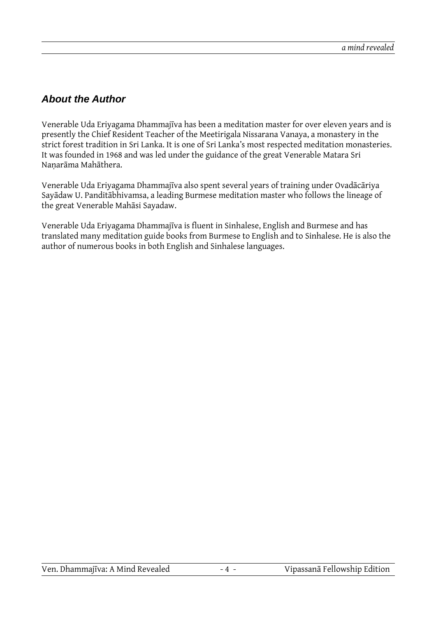#### **About the Author**

Venerable Uda Eriyagama Dhammajīva has been a meditation master for over eleven years and is presently the Chief Resident Teacher of the Meetirigala Nissarana Vanaya, a monastery in the strict forest tradition in Sri Lanka. It is one of Sri Lanka's most respected meditation monasteries. It was founded in 1968 and was led under the guidance of the great Venerable Matara Sri Naṇarāma Mahāthera.

Venerable Uda Eriyagama Dhammajīva also spent several years of training under Ovadācāriya Sayādaw U. Panditābhivamsa, a leading Burmese meditation master who follows the lineage of the great Venerable Mahāsi Sayadaw.

Venerable Uda Eriyagama Dhammajīva is fluent in Sinhalese, English and Burmese and has translated many meditation guide books from Burmese to English and to Sinhalese. He is also the author of numerous books in both English and Sinhalese languages.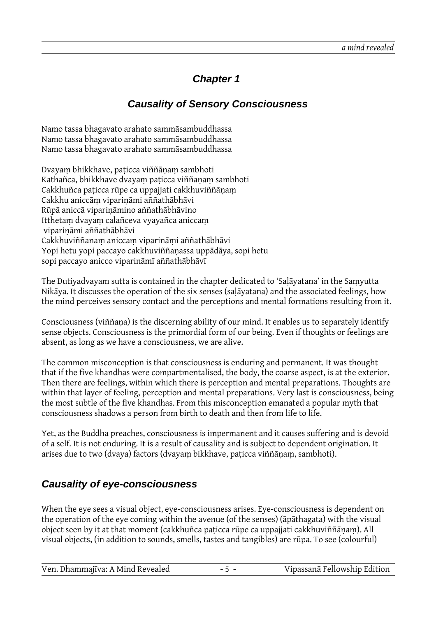### **Chapter 1**

#### **Causality of Sensory Consciousness**

Namo tassa bhagavato arahato sammāsambuddhassa Namo tassa bhagavato arahato sammāsambuddhassa Namo tassa bhagavato arahato sammāsambuddhassa

Dvayaṃ bhikkhave, paṭicca viññāṇaṃ sambhoti Kathañca, bhikkhave dvayaṃ paṭicca viññaṇaṃ sambhoti Cakkhuñca paṭicca rūpe ca uppajjati cakkhuviññāṇaṃ Cakkhu aniccāṃ vipariṇāmi aññathābhāvi Rūpā aniccā vipariṇāmino aññathābhāvino Itthetaṃ dvayaṃ calañceva vyayañca aniccaṃ vipariṇāmi aññathābhāvi Cakkhuviññanaṃ aniccaṃ viparināṃi aññathābhāvi Yopi hetu yopi paccayo cakkhuviññaṇassa uppādāya, sopi hetu sopi paccayo anicco viparināmī aññathābhāvī

The Dutiyadvayam sutta is contained in the chapter dedicated to 'Saḷāyatana' in the Saṃyutta Nikāya. It discusses the operation of the six senses (saḷāyatana) and the associated feelings, how the mind perceives sensory contact and the perceptions and mental formations resulting from it.

Consciousness (viññaṇa) is the discerning ability of our mind. It enables us to separately identify sense objects. Consciousness is the primordial form of our being. Even if thoughts or feelings are absent, as long as we have a consciousness, we are alive.

The common misconception is that consciousness is enduring and permanent. It was thought that if the five khandhas were compartmentalised, the body, the coarse aspect, is at the exterior. Then there are feelings, within which there is perception and mental preparations. Thoughts are within that layer of feeling, perception and mental preparations. Very last is consciousness, being the most subtle of the five khandhas. From this misconception emanated a popular myth that consciousness shadows a person from birth to death and then from life to life.

Yet, as the Buddha preaches, consciousness is impermanent and it causes suffering and is devoid of a self. It is not enduring. It is a result of causality and is subject to dependent origination. It arises due to two (dvaya) factors (dvayaṃ bikkhave, paṭicca viññāṇaṃ, sambhoti).

#### **Causality of eye-consciousness**

When the eye sees a visual object, eye-consciousness arises. Eye-consciousness is dependent on the operation of the eye coming within the avenue (of the senses) (āpāthagata) with the visual object seen by it at that moment (cakkhuñca paṭicca rūpe ca uppajjati cakkhuviññāṇaṃ). All visual objects, (in addition to sounds, smells, tastes and tangibles) are rūpa. To see (colourful)

| Ven. Dhammajīva: A Mind Revealed | $-5 -$ | Vipassanā Fellowship Edition |
|----------------------------------|--------|------------------------------|
|----------------------------------|--------|------------------------------|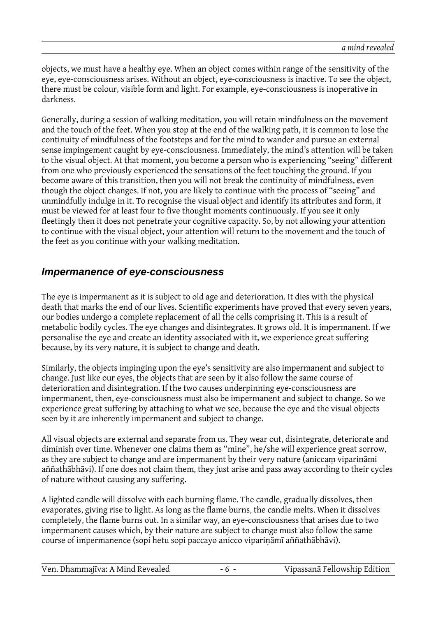objects, we must have a healthy eye. When an object comes within range of the sensitivity of the eye, eye-consciousness arises. Without an object, eye-consciousness is inactive. To see the object, there must be colour, visible form and light. For example, eye-consciousness is inoperative in darkness.

Generally, during a session of walking meditation, you will retain mindfulness on the movement and the touch of the feet. When you stop at the end of the walking path, it is common to lose the continuity of mindfulness of the footsteps and for the mind to wander and pursue an external sense impingement caught by eye-consciousness. Immediately, the mind's attention will be taken to the visual object. At that moment, you become a person who is experiencing "seeing" different from one who previously experienced the sensations of the feet touching the ground. If you become aware of this transition, then you will not break the continuity of mindfulness, even though the object changes. If not, you are likely to continue with the process of "seeing" and unmindfully indulge in it. To recognise the visual object and identify its attributes and form, it must be viewed for at least four to five thought moments continuously. If you see it only fleetingly then it does not penetrate your cognitive capacity. So, by not allowing your attention to continue with the visual object, your attention will return to the movement and the touch of the feet as you continue with your walking meditation.

#### **Impermanence of eye-consciousness**

The eye is impermanent as it is subject to old age and deterioration. It dies with the physical death that marks the end of our lives. Scientific experiments have proved that every seven years, our bodies undergo a complete replacement of all the cells comprising it. This is a result of metabolic bodily cycles. The eye changes and disintegrates. It grows old. It is impermanent. If we personalise the eye and create an identity associated with it, we experience great suffering because, by its very nature, it is subject to change and death.

Similarly, the objects impinging upon the eye's sensitivity are also impermanent and subject to change. Just like our eyes, the objects that are seen by it also follow the same course of deterioration and disintegration. If the two causes underpinning eye-consciousness are impermanent, then, eye-consciousness must also be impermanent and subject to change. So we experience great suffering by attaching to what we see, because the eye and the visual objects seen by it are inherently impermanent and subject to change.

All visual objects are external and separate from us. They wear out, disintegrate, deteriorate and diminish over time. Whenever one claims them as "mine", he/she will experience great sorrow, as they are subject to change and are impermanent by their very nature (aniccaṃ viparināmi aññathābhāvi). If one does not claim them, they just arise and pass away according to their cycles of nature without causing any suffering.

A lighted candle will dissolve with each burning flame. The candle, gradually dissolves, then evaporates, giving rise to light. As long as the flame burns, the candle melts. When it dissolves completely, the flame burns out. In a similar way, an eye-consciousness that arises due to two impermanent causes which, by their nature are subject to change must also follow the same course of impermanence (sopi hetu sopi paccayo anicco vipariṇāmī aññathābhāvi).

| Vipassanā Fellowship Edition |
|------------------------------|
|                              |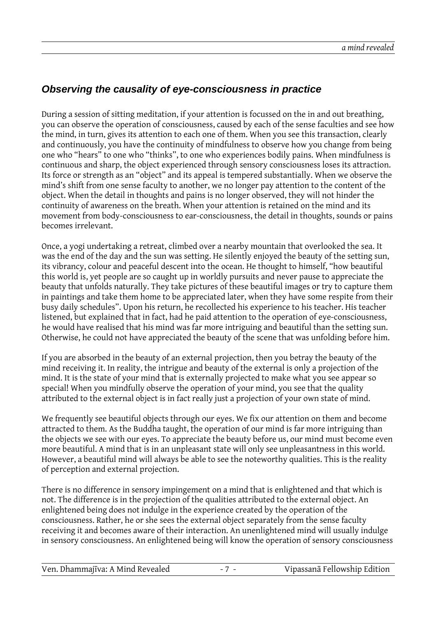#### **Observing the causality of eye-consciousness in practice**

During a session of sitting meditation, if your attention is focussed on the in and out breathing, you can observe the operation of consciousness, caused by each of the sense faculties and see how the mind, in turn, gives its attention to each one of them. When you see this transaction, clearly and continuously, you have the continuity of mindfulness to observe how you change from being one who "hears" to one who "thinks", to one who experiences bodily pains. When mindfulness is continuous and sharp, the object experienced through sensory consciousness loses its attraction. Its force or strength as an "object" and its appeal is tempered substantially. When we observe the mind's shift from one sense faculty to another, we no longer pay attention to the content of the object. When the detail in thoughts and pains is no longer observed, they will not hinder the continuity of awareness on the breath. When your attention is retained on the mind and its movement from body-consciousness to ear-consciousness, the detail in thoughts, sounds or pains becomes irrelevant.

Once, a yogi undertaking a retreat, climbed over a nearby mountain that overlooked the sea. It was the end of the day and the sun was setting. He silently enjoyed the beauty of the setting sun, its vibrancy, colour and peaceful descent into the ocean. He thought to himself, "how beautiful this world is, yet people are so caught up in worldly pursuits and never pause to appreciate the beauty that unfolds naturally. They take pictures of these beautiful images or try to capture them in paintings and take them home to be appreciated later, when they have some respite from their busy daily schedules". Upon his return, he recollected his experience to his teacher. His teacher listened, but explained that in fact, had he paid attention to the operation of eye-consciousness, he would have realised that his mind was far more intriguing and beautiful than the setting sun. Otherwise, he could not have appreciated the beauty of the scene that was unfolding before him.

If you are absorbed in the beauty of an external projection, then you betray the beauty of the mind receiving it. In reality, the intrigue and beauty of the external is only a projection of the mind. It is the state of your mind that is externally projected to make what you see appear so special! When you mindfully observe the operation of your mind, you see that the quality attributed to the external object is in fact really just a projection of your own state of mind.

We frequently see beautiful objects through our eyes. We fix our attention on them and become attracted to them. As the Buddha taught, the operation of our mind is far more intriguing than the objects we see with our eyes. To appreciate the beauty before us, our mind must become even more beautiful. A mind that is in an unpleasant state will only see unpleasantness in this world. However, a beautiful mind will always be able to see the noteworthy qualities. This is the reality of perception and external projection.

There is no difference in sensory impingement on a mind that is enlightened and that which is not. The difference is in the projection of the qualities attributed to the external object. An enlightened being does not indulge in the experience created by the operation of the consciousness. Rather, he or she sees the external object separately from the sense faculty receiving it and becomes aware of their interaction. An unenlightened mind will usually indulge in sensory consciousness. An enlightened being will know the operation of sensory consciousness

| Ven. Dhammajīva: A Mind Revealed | Vipassanā Fellowship Edition |
|----------------------------------|------------------------------|
|----------------------------------|------------------------------|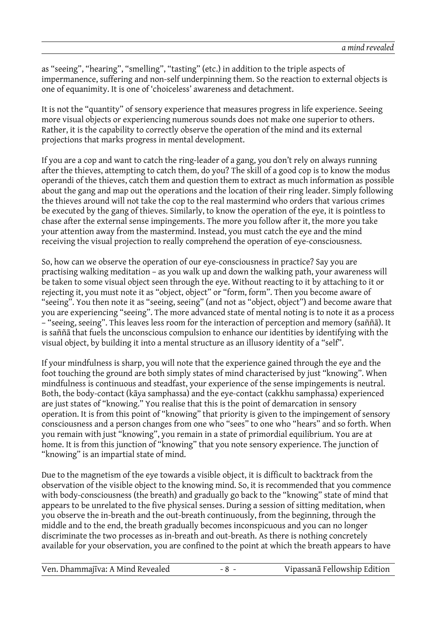as "seeing", "hearing", "smelling", "tasting" (etc.) in addition to the triple aspects of impermanence, suffering and non-self underpinning them. So the reaction to external objects is one of equanimity. It is one of 'choiceless' awareness and detachment.

It is not the "quantity" of sensory experience that measures progress in life experience. Seeing more visual objects or experiencing numerous sounds does not make one superior to others. Rather, it is the capability to correctly observe the operation of the mind and its external projections that marks progress in mental development.

If you are a cop and want to catch the ring-leader of a gang, you don't rely on always running after the thieves, attempting to catch them, do you? The skill of a good cop is to know the modus operandi of the thieves, catch them and question them to extract as much information as possible about the gang and map out the operations and the location of their ring leader. Simply following the thieves around will not take the cop to the real mastermind who orders that various crimes be executed by the gang of thieves. Similarly, to know the operation of the eye, it is pointless to chase after the external sense impingements. The more you follow after it, the more you take your attention away from the mastermind. Instead, you must catch the eye and the mind receiving the visual projection to really comprehend the operation of eye-consciousness.

So, how can we observe the operation of our eye-consciousness in practice? Say you are practising walking meditation – as you walk up and down the walking path, your awareness will be taken to some visual object seen through the eye. Without reacting to it by attaching to it or rejecting it, you must note it as "object, object" or "form, form". Then you become aware of "seeing". You then note it as "seeing, seeing" (and not as "object, object") and become aware that you are experiencing "seeing". The more advanced state of mental noting is to note it as a process – "seeing, seeing". This leaves less room for the interaction of perception and memory (saññā). It is saññā that fuels the unconscious compulsion to enhance our identities by identifying with the visual object, by building it into a mental structure as an illusory identity of a "self".

If your mindfulness is sharp, you will note that the experience gained through the eye and the foot touching the ground are both simply states of mind characterised by just "knowing". When mindfulness is continuous and steadfast, your experience of the sense impingements is neutral. Both, the body-contact (kāya samphassa) and the eye-contact (cakkhu samphassa) experienced are just states of "knowing." You realise that this is the point of demarcation in sensory operation. It is from this point of "knowing" that priority is given to the impingement of sensory consciousness and a person changes from one who "sees" to one who "hears" and so forth. When you remain with just "knowing", you remain in a state of primordial equilibrium. You are at home. It is from this junction of "knowing" that you note sensory experience. The junction of "knowing" is an impartial state of mind.

Due to the magnetism of the eye towards a visible object, it is difficult to backtrack from the observation of the visible object to the knowing mind. So, it is recommended that you commence with body-consciousness (the breath) and gradually go back to the "knowing" state of mind that appears to be unrelated to the five physical senses. During a session of sitting meditation, when you observe the in-breath and the out-breath continuously, from the beginning, through the middle and to the end, the breath gradually becomes inconspicuous and you can no longer discriminate the two processes as in-breath and out-breath. As there is nothing concretely available for your observation, you are confined to the point at which the breath appears to have

| Ven. Dhammajīva: A Mind Revealed | -8 - | Vipassanā Fellowship Edition |
|----------------------------------|------|------------------------------|
|----------------------------------|------|------------------------------|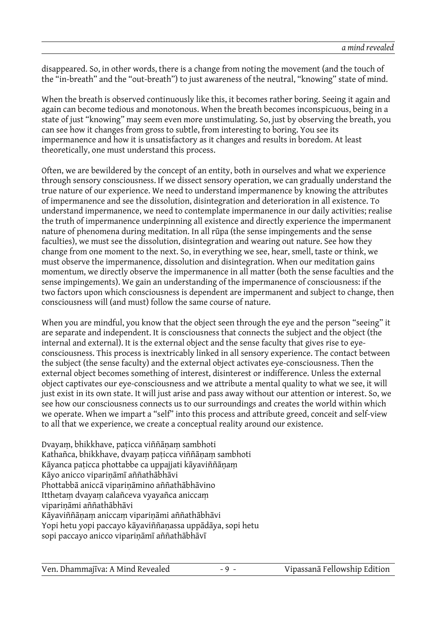disappeared. So, in other words, there is a change from noting the movement (and the touch of the "in-breath" and the "out-breath") to just awareness of the neutral, "knowing" state of mind.

When the breath is observed continuously like this, it becomes rather boring. Seeing it again and again can become tedious and monotonous. When the breath becomes inconspicuous, being in a state of just "knowing" may seem even more unstimulating. So, just by observing the breath, you can see how it changes from gross to subtle, from interesting to boring. You see its impermanence and how it is unsatisfactory as it changes and results in boredom. At least theoretically, one must understand this process.

Often, we are bewildered by the concept of an entity, both in ourselves and what we experience through sensory consciousness. If we dissect sensory operation, we can gradually understand the true nature of our experience. We need to understand impermanence by knowing the attributes of impermanence and see the dissolution, disintegration and deterioration in all existence. To understand impermanence, we need to contemplate impermanence in our daily activities; realise the truth of impermanence underpinning all existence and directly experience the impermanent nature of phenomena during meditation. In all rūpa (the sense impingements and the sense faculties), we must see the dissolution, disintegration and wearing out nature. See how they change from one moment to the next. So, in everything we see, hear, smell, taste or think, we must observe the impermanence, dissolution and disintegration. When our meditation gains momentum, we directly observe the impermanence in all matter (both the sense faculties and the sense impingements). We gain an understanding of the impermanence of consciousness: if the two factors upon which consciousness is dependent are impermanent and subject to change, then consciousness will (and must) follow the same course of nature.

When you are mindful, you know that the object seen through the eye and the person "seeing" it are separate and independent. It is consciousness that connects the subject and the object (the internal and external). It is the external object and the sense faculty that gives rise to eyeconsciousness. This process is inextricably linked in all sensory experience. The contact between the subject (the sense faculty) and the external object activates eye-consciousness. Then the external object becomes something of interest, disinterest or indifference. Unless the external object captivates our eye-consciousness and we attribute a mental quality to what we see, it will just exist in its own state. It will just arise and pass away without our attention or interest. So, we see how our consciousness connects us to our surroundings and creates the world within which we operate. When we impart a "self" into this process and attribute greed, conceit and self-view to all that we experience, we create a conceptual reality around our existence.

Dvayaṃ, bhikkhave, paṭicca viññāṇaṃ sambhoti Kathañca, bhikkhave, dvayaṃ paṭicca viññāṇaṃ sambhoti Kāyanca paṭicca phottabbe ca uppajjati kāyaviññāṇaṃ Kāyo anicco vipariṇāmī aññathābhāvi Phottabbā aniccā vipariṇāmino aññathābhāvino Itthetaṃ dvayaṃ calañceva vyayañca aniccaṃ vipariṇāmi aññathābhāvi Kāyaviññāṇaṃ aniccaṃ vipariṇāmi aññathābhāvi Yopi hetu yopi paccayo kāyaviññaṇassa uppādāya, sopi hetu sopi paccayo anicco vipariṇāmī aññathābhāvī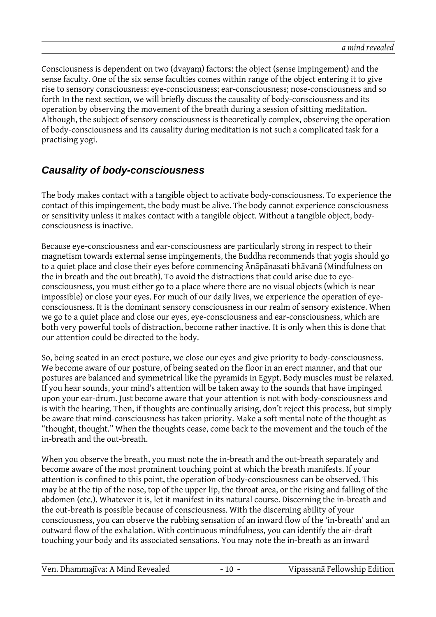Consciousness is dependent on two (dvayaṃ) factors: the object (sense impingement) and the sense faculty. One of the six sense faculties comes within range of the object entering it to give rise to sensory consciousness: eye-consciousness; ear-consciousness; nose-consciousness and so forth In the next section, we will briefly discuss the causality of body-consciousness and its operation by observing the movement of the breath during a session of sitting meditation. Although, the subject of sensory consciousness is theoretically complex, observing the operation of body-consciousness and its causality during meditation is not such a complicated task for a practising yogi.

#### **Causality of body-consciousness**

The body makes contact with a tangible object to activate body-consciousness. To experience the contact of this impingement, the body must be alive. The body cannot experience consciousness or sensitivity unless it makes contact with a tangible object. Without a tangible object, bodyconsciousness is inactive.

Because eye-consciousness and ear-consciousness are particularly strong in respect to their magnetism towards external sense impingements, the Buddha recommends that yogis should go to a quiet place and close their eyes before commencing Ānāpānasati bhāvanā (Mindfulness on the in breath and the out breath). To avoid the distractions that could arise due to eyeconsciousness, you must either go to a place where there are no visual objects (which is near impossible) or close your eyes. For much of our daily lives, we experience the operation of eyeconsciousness. It is the dominant sensory consciousness in our realm of sensory existence. When we go to a quiet place and close our eyes, eye-consciousness and ear-consciousness, which are both very powerful tools of distraction, become rather inactive. It is only when this is done that our attention could be directed to the body.

So, being seated in an erect posture, we close our eyes and give priority to body-consciousness. We become aware of our posture, of being seated on the floor in an erect manner, and that our postures are balanced and symmetrical like the pyramids in Egypt. Body muscles must be relaxed. If you hear sounds, your mind's attention will be taken away to the sounds that have impinged upon your ear-drum. Just become aware that your attention is not with body-consciousness and is with the hearing. Then, if thoughts are continually arising, don't reject this process, but simply be aware that mind-consciousness has taken priority. Make a soft mental note of the thought as "thought, thought." When the thoughts cease, come back to the movement and the touch of the in-breath and the out-breath.

When you observe the breath, you must note the in-breath and the out-breath separately and become aware of the most prominent touching point at which the breath manifests. If your attention is confined to this point, the operation of body-consciousness can be observed. This may be at the tip of the nose, top of the upper lip, the throat area, or the rising and falling of the abdomen (etc.). Whatever it is, let it manifest in its natural course. Discerning the in-breath and the out-breath is possible because of consciousness. With the discerning ability of your consciousness, you can observe the rubbing sensation of an inward flow of the 'in-breath' and an outward flow of the exhalation. With continuous mindfulness, you can identify the air-draft touching your body and its associated sensations. You may note the in-breath as an inward

| Ven. Dhammajīva: A Mind Revealed | $-10 -$ | Vipassanā Fellowship Edition |
|----------------------------------|---------|------------------------------|
|                                  |         |                              |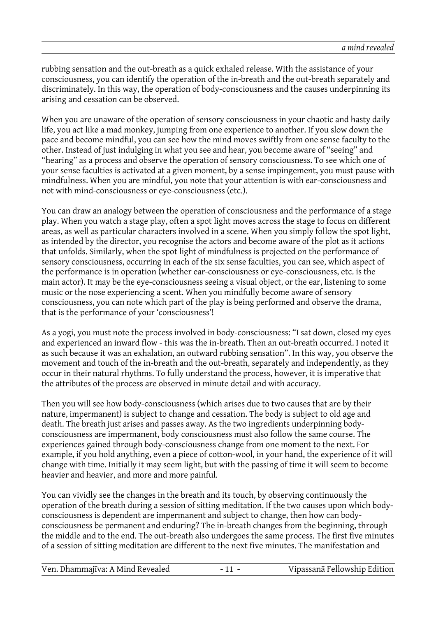rubbing sensation and the out-breath as a quick exhaled release. With the assistance of your consciousness, you can identify the operation of the in-breath and the out-breath separately and discriminately. In this way, the operation of body-consciousness and the causes underpinning its arising and cessation can be observed.

When you are unaware of the operation of sensory consciousness in your chaotic and hasty daily life, you act like a mad monkey, jumping from one experience to another. If you slow down the pace and become mindful, you can see how the mind moves swiftly from one sense faculty to the other. Instead of just indulging in what you see and hear, you become aware of "seeing" and "hearing" as a process and observe the operation of sensory consciousness. To see which one of your sense faculties is activated at a given moment, by a sense impingement, you must pause with mindfulness. When you are mindful, you note that your attention is with ear-consciousness and not with mind-consciousness or eye-consciousness (etc.).

You can draw an analogy between the operation of consciousness and the performance of a stage play. When you watch a stage play, often a spot light moves across the stage to focus on different areas, as well as particular characters involved in a scene. When you simply follow the spot light, as intended by the director, you recognise the actors and become aware of the plot as it actions that unfolds. Similarly, when the spot light of mindfulness is projected on the performance of sensory consciousness, occurring in each of the six sense faculties, you can see, which aspect of the performance is in operation (whether ear-consciousness or eye-consciousness, etc. is the main actor). It may be the eye-consciousness seeing a visual object, or the ear, listening to some music or the nose experiencing a scent. When you mindfully become aware of sensory consciousness, you can note which part of the play is being performed and observe the drama, that is the performance of your 'consciousness'!

As a yogi, you must note the process involved in body-consciousness: "I sat down, closed my eyes and experienced an inward flow - this was the in-breath. Then an out-breath occurred. I noted it as such because it was an exhalation, an outward rubbing sensation". In this way, you observe the movement and touch of the in-breath and the out-breath, separately and independently, as they occur in their natural rhythms. To fully understand the process, however, it is imperative that the attributes of the process are observed in minute detail and with accuracy.

Then you will see how body-consciousness (which arises due to two causes that are by their nature, impermanent) is subject to change and cessation. The body is subject to old age and death. The breath just arises and passes away. As the two ingredients underpinning bodyconsciousness are impermanent, body consciousness must also follow the same course. The experiences gained through body-consciousness change from one moment to the next. For example, if you hold anything, even a piece of cotton-wool, in your hand, the experience of it will change with time. Initially it may seem light, but with the passing of time it will seem to become heavier and heavier, and more and more painful.

You can vividly see the changes in the breath and its touch, by observing continuously the operation of the breath during a session of sitting meditation. If the two causes upon which bodyconsciousness is dependent are impermanent and subject to change, then how can bodyconsciousness be permanent and enduring? The in-breath changes from the beginning, through the middle and to the end. The out-breath also undergoes the same process. The first five minutes of a session of sitting meditation are different to the next five minutes. The manifestation and

| Vipassanā Fellowship Edition<br>Ven. Dhammajīva: A Mind Revealed |
|------------------------------------------------------------------|
|------------------------------------------------------------------|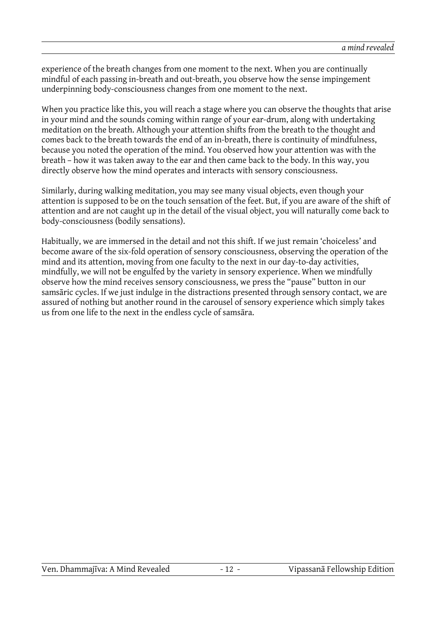experience of the breath changes from one moment to the next. When you are continually mindful of each passing in-breath and out-breath, you observe how the sense impingement underpinning body-consciousness changes from one moment to the next.

When you practice like this, you will reach a stage where you can observe the thoughts that arise in your mind and the sounds coming within range of your ear-drum, along with undertaking meditation on the breath. Although your attention shifts from the breath to the thought and comes back to the breath towards the end of an in-breath, there is continuity of mindfulness, because you noted the operation of the mind. You observed how your attention was with the breath – how it was taken away to the ear and then came back to the body. In this way, you directly observe how the mind operates and interacts with sensory consciousness.

Similarly, during walking meditation, you may see many visual objects, even though your attention is supposed to be on the touch sensation of the feet. But, if you are aware of the shift of attention and are not caught up in the detail of the visual object, you will naturally come back to body-consciousness (bodily sensations).

Habitually, we are immersed in the detail and not this shift. If we just remain 'choiceless' and become aware of the six-fold operation of sensory consciousness, observing the operation of the mind and its attention, moving from one faculty to the next in our day-to-day activities, mindfully, we will not be engulfed by the variety in sensory experience. When we mindfully observe how the mind receives sensory consciousness, we press the "pause" button in our samsāric cycles. If we just indulge in the distractions presented through sensory contact, we are assured of nothing but another round in the carousel of sensory experience which simply takes us from one life to the next in the endless cycle of samsāra.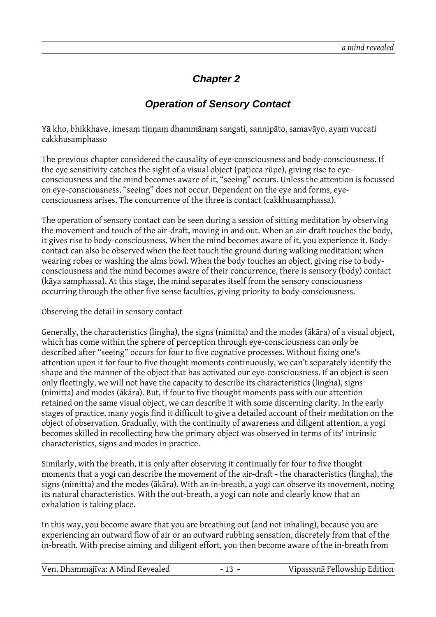### **Chapter 2**

#### **Operation of Sensory Contact**

Yā kho, bhikkhave, imesaṃ tiṇṇaṃ dhammānaṃ sangati, sannipāto, samavāyo, ayaṃ vuccati cakkhusamphasso

The previous chapter considered the causality of eye-consciousness and body-consciousness. If the eye sensitivity catches the sight of a visual object (paṭicca rūpe), giving rise to eyeconsciousness and the mind becomes aware of it, "seeing" occurs. Unless the attention is focussed on eye-consciousness, "seeing" does not occur. Dependent on the eye and forms, eyeconsciousness arises. The concurrence of the three is contact (cakkhusamphassa).

The operation of sensory contact can be seen during a session of sitting meditation by observing the movement and touch of the air-draft, moving in and out. When an air-draft touches the body, it gives rise to body-consciousness. When the mind becomes aware of it, you experience it. Bodycontact can also be observed when the feet touch the ground during walking meditation; when wearing robes or washing the alms bowl. When the body touches an object, giving rise to bodyconsciousness and the mind becomes aware of their concurrence, there is sensory (body) contact (kāya samphassa). At this stage, the mind separates itself from the sensory consciousness occurring through the other five sense faculties, giving priority to body-consciousness.

Observing the detail in sensory contact

Generally, the characteristics (lingha), the signs (nimitta) and the modes (ākāra) of a visual object, which has come within the sphere of perception through eye-consciousness can only be described after "seeing" occurs for four to five cognative processes. Without fixing one's attention upon it for four to five thought moments continuously, we can't separately identify the shape and the manner of the object that has activated our eye-consciousness. If an object is seen only fleetingly, we will not have the capacity to describe its characteristics (lingha), signs (nimitta) and modes (ākāra). But, if four to five thought moments pass with our attention retained on the same visual object, we can describe it with some discerning clarity. In the early stages of practice, many yogis find it difficult to give a detailed account of their meditation on the object of observation. Gradually, with the continuity of awareness and diligent attention, a yogi becomes skilled in recollecting how the primary object was observed in terms of its' intrinsic characteristics, signs and modes in practice.

Similarly, with the breath, it is only after observing it continually for four to five thought moments that a yogi can describe the movement of the air-draft - the characteristics (lingha), the signs (nimitta) and the modes (ākāra). With an in-breath, a yogi can observe its movement, noting its natural characteristics. With the out-breath, a yogi can note and clearly know that an exhalation is taking place.

In this way, you become aware that you are breathing out (and not inhaling), because you are experiencing an outward flow of air or an outward rubbing sensation, discretely from that of the in-breath. With precise aiming and diligent effort, you then become aware of the in-breath from

| Ven. Dhammajīva: A Mind Revealed | Vipassanā Fellowship Edition |
|----------------------------------|------------------------------|
|                                  |                              |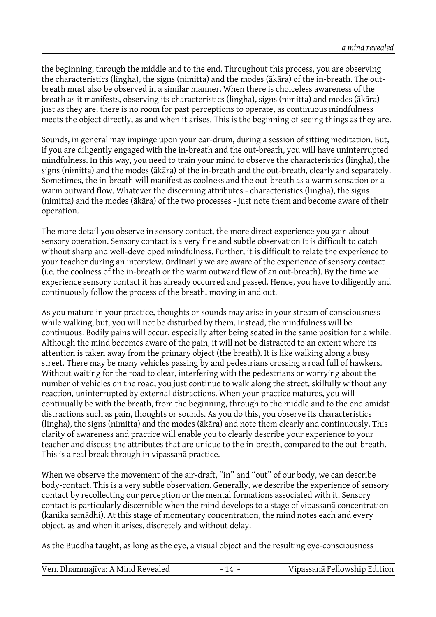the beginning, through the middle and to the end. Throughout this process, you are observing the characteristics (lingha), the signs (nimitta) and the modes (ākāra) of the in-breath. The outbreath must also be observed in a similar manner. When there is choiceless awareness of the breath as it manifests, observing its characteristics (lingha), signs (nimitta) and modes (ākāra) just as they are, there is no room for past perceptions to operate, as continuous mindfulness meets the object directly, as and when it arises. This is the beginning of seeing things as they are.

Sounds, in general may impinge upon your ear-drum, during a session of sitting meditation. But, if you are diligently engaged with the in-breath and the out-breath, you will have uninterrupted mindfulness. In this way, you need to train your mind to observe the characteristics (lingha), the signs (nimitta) and the modes (ākāra) of the in-breath and the out-breath, clearly and separately. Sometimes, the in-breath will manifest as coolness and the out-breath as a warm sensation or a warm outward flow. Whatever the discerning attributes - characteristics (lingha), the signs (nimitta) and the modes (ākāra) of the two processes - just note them and become aware of their operation.

The more detail you observe in sensory contact, the more direct experience you gain about sensory operation. Sensory contact is a very fine and subtle observation It is difficult to catch without sharp and well-developed mindfulness. Further, it is difficult to relate the experience to your teacher during an interview. Ordinarily we are aware of the experience of sensory contact (i.e. the coolness of the in-breath or the warm outward flow of an out-breath). By the time we experience sensory contact it has already occurred and passed. Hence, you have to diligently and continuously follow the process of the breath, moving in and out.

As you mature in your practice, thoughts or sounds may arise in your stream of consciousness while walking, but, you will not be disturbed by them. Instead, the mindfulness will be continuous. Bodily pains will occur, especially after being seated in the same position for a while. Although the mind becomes aware of the pain, it will not be distracted to an extent where its attention is taken away from the primary object (the breath). It is like walking along a busy street. There may be many vehicles passing by and pedestrians crossing a road full of hawkers. Without waiting for the road to clear, interfering with the pedestrians or worrying about the number of vehicles on the road, you just continue to walk along the street, skilfully without any reaction, uninterrupted by external distractions. When your practice matures, you will continually be with the breath, from the beginning, through to the middle and to the end amidst distractions such as pain, thoughts or sounds. As you do this, you observe its characteristics (lingha), the signs (nimitta) and the modes (ākāra) and note them clearly and continuously. This clarity of awareness and practice will enable you to clearly describe your experience to your teacher and discuss the attributes that are unique to the in-breath, compared to the out-breath. This is a real break through in vipassanā practice.

When we observe the movement of the air-draft, "in" and "out" of our body, we can describe body-contact. This is a very subtle observation. Generally, we describe the experience of sensory contact by recollecting our perception or the mental formations associated with it. Sensory contact is particularly discernible when the mind develops to a stage of vipassanā concentration (kanika samādhi). At this stage of momentary concentration, the mind notes each and every object, as and when it arises, discretely and without delay.

As the Buddha taught, as long as the eye, a visual object and the resulting eye-consciousness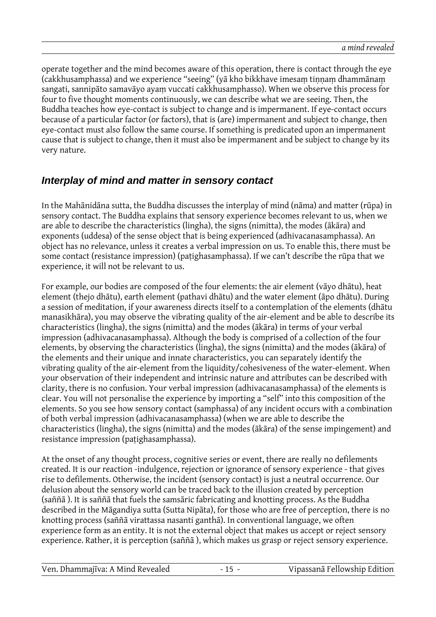operate together and the mind becomes aware of this operation, there is contact through the eye (cakkhusamphassa) and we experience "seeing" (yā kho bikkhave imesam tinnam dhammānam sangati, sannipāto samavāyo ayaṃ vuccati cakkhusamphasso). When we observe this process for four to five thought moments continuously, we can describe what we are seeing. Then, the Buddha teaches how eye-contact is subject to change and is impermanent. If eye-contact occurs because of a particular factor (or factors), that is (are) impermanent and subject to change, then eye-contact must also follow the same course. If something is predicated upon an impermanent cause that is subject to change, then it must also be impermanent and be subject to change by its very nature.

#### **Interplay of mind and matter in sensory contact**

In the Mahānidāna sutta, the Buddha discusses the interplay of mind (nāma) and matter (rūpa) in sensory contact. The Buddha explains that sensory experience becomes relevant to us, when we are able to describe the characteristics (lingha), the signs (nimitta), the modes (ākāra) and exponents (uddesa) of the sense object that is being experienced (adhivacanasamphassa). An object has no relevance, unless it creates a verbal impression on us. To enable this, there must be some contact (resistance impression) (paṭighasamphassa). If we can't describe the rūpa that we experience, it will not be relevant to us.

For example, our bodies are composed of the four elements: the air element (vāyo dhātu), heat element (thejo dhātu), earth element (pathavi dhātu) and the water element (āpo dhātu). During a session of meditation, if your awareness directs itself to a contemplation of the elements (dhātu manasikhāra), you may observe the vibrating quality of the air-element and be able to describe its characteristics (lingha), the signs (nimitta) and the modes (ākāra) in terms of your verbal impression (adhivacanasamphassa). Although the body is comprised of a collection of the four elements, by observing the characteristics (lingha), the signs (nimitta) and the modes (ākāra) of the elements and their unique and innate characteristics, you can separately identify the vibrating quality of the air-element from the liquidity/cohesiveness of the water-element. When your observation of their independent and intrinsic nature and attributes can be described with clarity, there is no confusion. Your verbal impression (adhivacanasamphassa) of the elements is clear. You will not personalise the experience by importing a "self" into this composition of the elements. So you see how sensory contact (samphassa) of any incident occurs with a combination of both verbal impression (adhivacanasamphassa) (when we are able to describe the characteristics (lingha), the signs (nimitta) and the modes (ākāra) of the sense impingement) and resistance impression (paṭighasamphassa).

At the onset of any thought process, cognitive series or event, there are really no defilements created. It is our reaction -indulgence, rejection or ignorance of sensory experience - that gives rise to defilements. Otherwise, the incident (sensory contact) is just a neutral occurrence. Our delusion about the sensory world can be traced back to the illusion created by perception (saññā ). It is saññā that fuels the samsāric fabricating and knotting process. As the Buddha described in the Māgandiya sutta (Sutta Nipāta), for those who are free of perception, there is no knotting process (saññā virattassa nasanti ganthā). In conventional language, we often experience form as an entity. It is not the external object that makes us accept or reject sensory experience. Rather, it is perception (saññā ), which makes us grasp or reject sensory experience.

| Ven. Dhammajīva: A Mind Revealed |  | Vipassanā Fellowship Edition |
|----------------------------------|--|------------------------------|
|----------------------------------|--|------------------------------|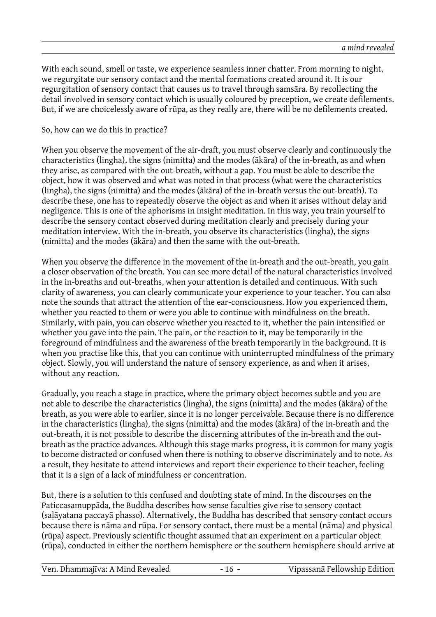With each sound, smell or taste, we experience seamless inner chatter. From morning to night, we regurgitate our sensory contact and the mental formations created around it. It is our regurgitation of sensory contact that causes us to travel through samsāra. By recollecting the detail involved in sensory contact which is usually coloured by preception, we create defilements. But, if we are choicelessly aware of rūpa, as they really are, there will be no defilements created.

#### So, how can we do this in practice?

When you observe the movement of the air-draft, you must observe clearly and continuously the characteristics (lingha), the signs (nimitta) and the modes (ākāra) of the in-breath, as and when they arise, as compared with the out-breath, without a gap. You must be able to describe the object, how it was observed and what was noted in that process (what were the characteristics (lingha), the signs (nimitta) and the modes (ākāra) of the in-breath versus the out-breath). To describe these, one has to repeatedly observe the object as and when it arises without delay and negligence. This is one of the aphorisms in insight meditation. In this way, you train yourself to describe the sensory contact observed during meditation clearly and precisely during your meditation interview. With the in-breath, you observe its characteristics (lingha), the signs (nimitta) and the modes (ākāra) and then the same with the out-breath.

When you observe the difference in the movement of the in-breath and the out-breath, you gain a closer observation of the breath. You can see more detail of the natural characteristics involved in the in-breaths and out-breaths, when your attention is detailed and continuous. With such clarity of awareness, you can clearly communicate your experience to your teacher. You can also note the sounds that attract the attention of the ear-consciousness. How you experienced them, whether you reacted to them or were you able to continue with mindfulness on the breath. Similarly, with pain, you can observe whether you reacted to it, whether the pain intensified or whether you gave into the pain. The pain, or the reaction to it, may be temporarily in the foreground of mindfulness and the awareness of the breath temporarily in the background. It is when you practise like this, that you can continue with uninterrupted mindfulness of the primary object. Slowly, you will understand the nature of sensory experience, as and when it arises, without any reaction.

Gradually, you reach a stage in practice, where the primary object becomes subtle and you are not able to describe the characteristics (lingha), the signs (nimitta) and the modes (ākāra) of the breath, as you were able to earlier, since it is no longer perceivable. Because there is no difference in the characteristics (lingha), the signs (nimitta) and the modes (ākāra) of the in-breath and the out-breath, it is not possible to describe the discerning attributes of the in-breath and the outbreath as the practice advances. Although this stage marks progress, it is common for many yogis to become distracted or confused when there is nothing to observe discriminately and to note. As a result, they hesitate to attend interviews and report their experience to their teacher, feeling that it is a sign of a lack of mindfulness or concentration.

But, there is a solution to this confused and doubting state of mind. In the discourses on the Paticcasamuppāda, the Buddha describes how sense faculties give rise to sensory contact (saḷāyatana paccayā phasso). Alternatively, the Buddha has described that sensory contact occurs because there is nāma and rūpa. For sensory contact, there must be a mental (nāma) and physical (rūpa) aspect. Previously scientific thought assumed that an experiment on a particular object (rūpa), conducted in either the northern hemisphere or the southern hemisphere should arrive at

| Vipassanā Fellowship Edition<br>Ven. Dhammajīva: A Mind Revealed<br>$-16 -$ |
|-----------------------------------------------------------------------------|
|-----------------------------------------------------------------------------|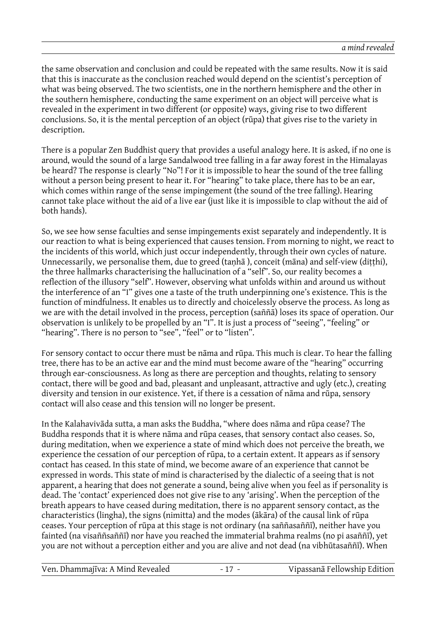the same observation and conclusion and could be repeated with the same results. Now it is said that this is inaccurate as the conclusion reached would depend on the scientist's perception of what was being observed. The two scientists, one in the northern hemisphere and the other in the southern hemisphere, conducting the same experiment on an object will perceive what is revealed in the experiment in two different (or opposite) ways, giving rise to two different conclusions. So, it is the mental perception of an object (rūpa) that gives rise to the variety in description.

There is a popular Zen Buddhist query that provides a useful analogy here. It is asked, if no one is around, would the sound of a large Sandalwood tree falling in a far away forest in the Himalayas be heard? The response is clearly "No"! For it is impossible to hear the sound of the tree falling without a person being present to hear it. For "hearing" to take place, there has to be an ear, which comes within range of the sense impingement (the sound of the tree falling). Hearing cannot take place without the aid of a live ear (just like it is impossible to clap without the aid of both hands).

So, we see how sense faculties and sense impingements exist separately and independently. It is our reaction to what is being experienced that causes tension. From morning to night, we react to the incidents of this world, which just occur independently, through their own cycles of nature. Unnecessarily, we personalise them, due to greed (tanhā), conceit (māna) and self-view (ditthi), the three hallmarks characterising the hallucination of a "self". So, our reality becomes a reflection of the illusory "self". However, observing what unfolds within and around us without the interference of an "I" gives one a taste of the truth underpinning one's existence. This is the function of mindfulness. It enables us to directly and choicelessly observe the process. As long as we are with the detail involved in the process, perception (saññā) loses its space of operation. Our observation is unlikely to be propelled by an "I". It is just a process of "seeing", "feeling" or "hearing". There is no person to "see", "feel" or to "listen".

For sensory contact to occur there must be nāma and rūpa. This much is clear. To hear the falling tree, there has to be an active ear and the mind must become aware of the "hearing" occurring through ear-consciousness. As long as there are perception and thoughts, relating to sensory contact, there will be good and bad, pleasant and unpleasant, attractive and ugly (etc.), creating diversity and tension in our existence. Yet, if there is a cessation of nāma and rūpa, sensory contact will also cease and this tension will no longer be present.

In the Kalahavivāda sutta, a man asks the Buddha, "where does nāma and rūpa cease? The Buddha responds that it is where nāma and rūpa ceases, that sensory contact also ceases. So, during meditation, when we experience a state of mind which does not perceive the breath, we experience the cessation of our perception of rūpa, to a certain extent. It appears as if sensory contact has ceased. In this state of mind, we become aware of an experience that cannot be expressed in words. This state of mind is characterised by the dialectic of a seeing that is not apparent, a hearing that does not generate a sound, being alive when you feel as if personality is dead. The 'contact' experienced does not give rise to any 'arising'. When the perception of the breath appears to have ceased during meditation, there is no apparent sensory contact, as the characteristics (lingha), the signs (nimitta) and the modes (ākāra) of the causal link of rūpa ceases. Your perception of rūpa at this stage is not ordinary (na saññasaññī), neither have you fainted (na visaññsaññī) nor have you reached the immaterial brahma realms (no pi asaññī), yet you are not without a perception either and you are alive and not dead (na vibhūtasaññī). When

Ven. Dhammajīva: A Mind Revealed - 17 - Vipassanā Fellowship Edition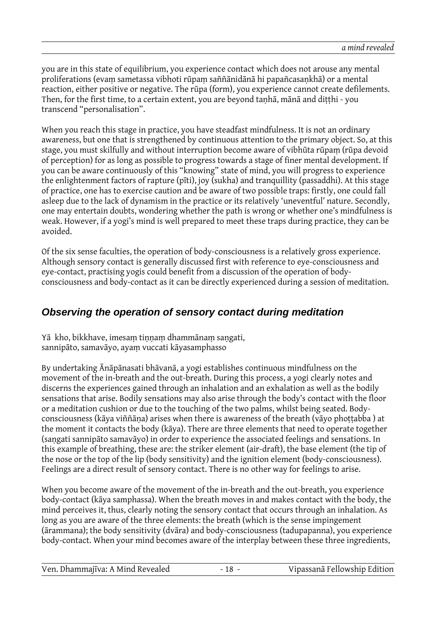you are in this state of equilibrium, you experience contact which does not arouse any mental proliferations (evaṃ sametassa vibhoti rūpaṃ saññānidānā hi papañcasaṇkhā) or a mental reaction, either positive or negative. The rūpa (form), you experience cannot create defilements. Then, for the first time, to a certain extent, you are beyond tanhā, mānā and ditthi - you transcend "personalisation".

When you reach this stage in practice, you have steadfast mindfulness. It is not an ordinary awareness, but one that is strengthened by continuous attention to the primary object. So, at this stage, you must skilfully and without interruption become aware of vibhūta rūpaṃ (rūpa devoid of perception) for as long as possible to progress towards a stage of finer mental development. If you can be aware continuously of this "knowing" state of mind, you will progress to experience the enlightenment factors of rapture (pīti), joy (sukha) and tranquillity (passaddhi). At this stage of practice, one has to exercise caution and be aware of two possible traps: firstly, one could fall asleep due to the lack of dynamism in the practice or its relatively 'uneventful' nature. Secondly, one may entertain doubts, wondering whether the path is wrong or whether one's mindfulness is weak. However, if a yogi's mind is well prepared to meet these traps during practice, they can be avoided.

Of the six sense faculties, the operation of body-consciousness is a relatively gross experience. Although sensory contact is generally discussed first with reference to eye-consciousness and eye-contact, practising yogis could benefit from a discussion of the operation of bodyconsciousness and body-contact as it can be directly experienced during a session of meditation.

#### **Observing the operation of sensory contact during meditation**

Yā kho, bikkhave, imesam tinnam dhammānam sangati, sannipāto, samavāyo, ayaṃ vuccati kāyasamphasso

By undertaking Ānāpānasati bhāvanā, a yogi establishes continuous mindfulness on the movement of the in-breath and the out-breath. During this process, a yogi clearly notes and discerns the experiences gained through an inhalation and an exhalation as well as the bodily sensations that arise. Bodily sensations may also arise through the body's contact with the floor or a meditation cushion or due to the touching of the two palms, whilst being seated. Bodyconsciousness (kāya viññāna) arises when there is awareness of the breath (vāyo phottabba) at the moment it contacts the body (kāya). There are three elements that need to operate together (saṇgati sannipāto samavāyo) in order to experience the associated feelings and sensations. In this example of breathing, these are: the striker element (air-draft), the base element (the tip of the nose or the top of the lip (body sensitivity) and the ignition element (body-consciousness). Feelings are a direct result of sensory contact. There is no other way for feelings to arise.

When you become aware of the movement of the in-breath and the out-breath, you experience body-contact (kāya samphassa). When the breath moves in and makes contact with the body, the mind perceives it, thus, clearly noting the sensory contact that occurs through an inhalation. As long as you are aware of the three elements: the breath (which is the sense impingement (ārammana); the body sensitivity (dvāra) and body-consciousness (tadupapanna), you experience body-contact. When your mind becomes aware of the interplay between these three ingredients,

|--|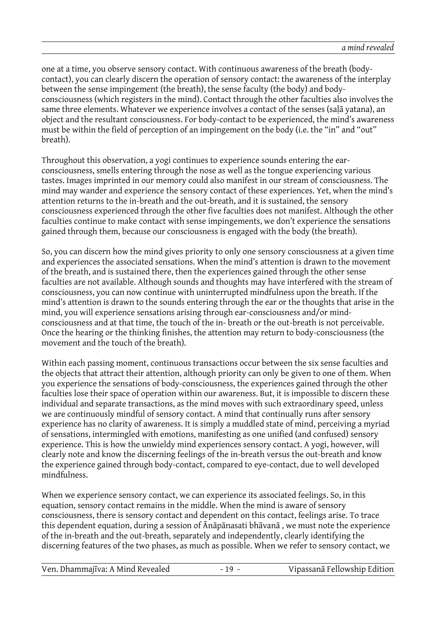one at a time, you observe sensory contact. With continuous awareness of the breath (bodycontact), you can clearly discern the operation of sensory contact: the awareness of the interplay between the sense impingement (the breath), the sense faculty (the body) and bodyconsciousness (which registers in the mind). Contact through the other faculties also involves the same three elements. Whatever we experience involves a contact of the senses (saḷā yatana), an object and the resultant consciousness. For body-contact to be experienced, the mind's awareness must be within the field of perception of an impingement on the body (i.e. the "in" and "out" breath).

Throughout this observation, a yogi continues to experience sounds entering the earconsciousness, smells entering through the nose as well as the tongue experiencing various tastes. Images imprinted in our memory could also manifest in our stream of consciousness. The mind may wander and experience the sensory contact of these experiences. Yet, when the mind's attention returns to the in-breath and the out-breath, and it is sustained, the sensory consciousness experienced through the other five faculties does not manifest. Although the other faculties continue to make contact with sense impingements, we don't experience the sensations gained through them, because our consciousness is engaged with the body (the breath).

So, you can discern how the mind gives priority to only one sensory consciousness at a given time and experiences the associated sensations. When the mind's attention is drawn to the movement of the breath, and is sustained there, then the experiences gained through the other sense faculties are not available. Although sounds and thoughts may have interfered with the stream of consciousness, you can now continue with uninterrupted mindfulness upon the breath. If the mind's attention is drawn to the sounds entering through the ear or the thoughts that arise in the mind, you will experience sensations arising through ear-consciousness and/or mindconsciousness and at that time, the touch of the in- breath or the out-breath is not perceivable. Once the hearing or the thinking finishes, the attention may return to body-consciousness (the movement and the touch of the breath).

Within each passing moment, continuous transactions occur between the six sense faculties and the objects that attract their attention, although priority can only be given to one of them. When you experience the sensations of body-consciousness, the experiences gained through the other faculties lose their space of operation within our awareness. But, it is impossible to discern these individual and separate transactions, as the mind moves with such extraordinary speed, unless we are continuously mindful of sensory contact. A mind that continually runs after sensory experience has no clarity of awareness. It is simply a muddled state of mind, perceiving a myriad of sensations, intermingled with emotions, manifesting as one unified (and confused) sensory experience. This is how the unwieldy mind experiences sensory contact. A yogi, however, will clearly note and know the discerning feelings of the in-breath versus the out-breath and know the experience gained through body-contact, compared to eye-contact, due to well developed mindfulness.

When we experience sensory contact, we can experience its associated feelings. So, in this equation, sensory contact remains in the middle. When the mind is aware of sensory consciousness, there is sensory contact and dependent on this contact, feelings arise. To trace this dependent equation, during a session of Ānāpānasati bhāvanā , we must note the experience of the in-breath and the out-breath, separately and independently, clearly identifying the discerning features of the two phases, as much as possible. When we refer to sensory contact, we

| Vipassanā Fellowship Edition<br>Ven. Dhammajīva: A Mind Revealed<br>$-19 -$ |  |
|-----------------------------------------------------------------------------|--|
|-----------------------------------------------------------------------------|--|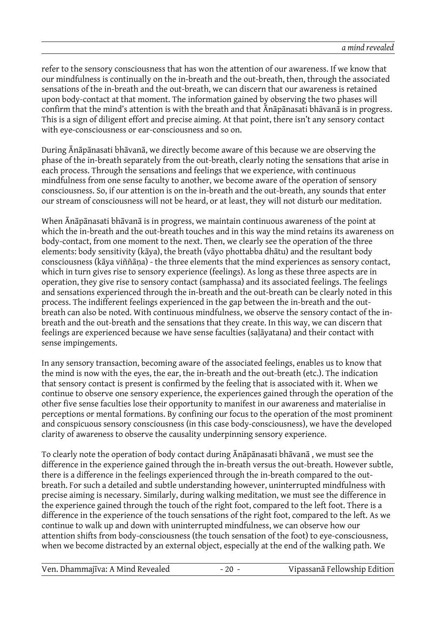refer to the sensory consciousness that has won the attention of our awareness. If we know that our mindfulness is continually on the in-breath and the out-breath, then, through the associated sensations of the in-breath and the out-breath, we can discern that our awareness is retained upon body-contact at that moment. The information gained by observing the two phases will confirm that the mind's attention is with the breath and that Ānāpānasati bhāvanā is in progress. This is a sign of diligent effort and precise aiming. At that point, there isn't any sensory contact with eye-consciousness or ear-consciousness and so on.

During Ānāpānasati bhāvanā, we directly become aware of this because we are observing the phase of the in-breath separately from the out-breath, clearly noting the sensations that arise in each process. Through the sensations and feelings that we experience, with continuous mindfulness from one sense faculty to another, we become aware of the operation of sensory consciousness. So, if our attention is on the in-breath and the out-breath, any sounds that enter our stream of consciousness will not be heard, or at least, they will not disturb our meditation.

When Ānāpānasati bhāvanā is in progress, we maintain continuous awareness of the point at which the in-breath and the out-breath touches and in this way the mind retains its awareness on body-contact, from one moment to the next. Then, we clearly see the operation of the three elements: body sensitivity (kāya), the breath (vāyo phottabba dhātu) and the resultant body consciousness (kāya viññāṇa) - the three elements that the mind experiences as sensory contact, which in turn gives rise to sensory experience (feelings). As long as these three aspects are in operation, they give rise to sensory contact (samphassa) and its associated feelings. The feelings and sensations experienced through the in-breath and the out-breath can be clearly noted in this process. The indifferent feelings experienced in the gap between the in-breath and the outbreath can also be noted. With continuous mindfulness, we observe the sensory contact of the inbreath and the out-breath and the sensations that they create. In this way, we can discern that feelings are experienced because we have sense faculties (saḷāyatana) and their contact with sense impingements.

In any sensory transaction, becoming aware of the associated feelings, enables us to know that the mind is now with the eyes, the ear, the in-breath and the out-breath (etc.). The indication that sensory contact is present is confirmed by the feeling that is associated with it. When we continue to observe one sensory experience, the experiences gained through the operation of the other five sense faculties lose their opportunity to manifest in our awareness and materialise in perceptions or mental formations. By confining our focus to the operation of the most prominent and conspicuous sensory consciousness (in this case body-consciousness), we have the developed clarity of awareness to observe the causality underpinning sensory experience.

To clearly note the operation of body contact during Ānāpānasati bhāvanā , we must see the difference in the experience gained through the in-breath versus the out-breath. However subtle, there is a difference in the feelings experienced through the in-breath compared to the outbreath. For such a detailed and subtle understanding however, uninterrupted mindfulness with precise aiming is necessary. Similarly, during walking meditation, we must see the difference in the experience gained through the touch of the right foot, compared to the left foot. There is a difference in the experience of the touch sensations of the right foot, compared to the left. As we continue to walk up and down with uninterrupted mindfulness, we can observe how our attention shifts from body-consciousness (the touch sensation of the foot) to eye-consciousness, when we become distracted by an external object, especially at the end of the walking path. We

Ven. Dhammajīva: A Mind Revealed - 20 - Vipassanā Fellowship Edition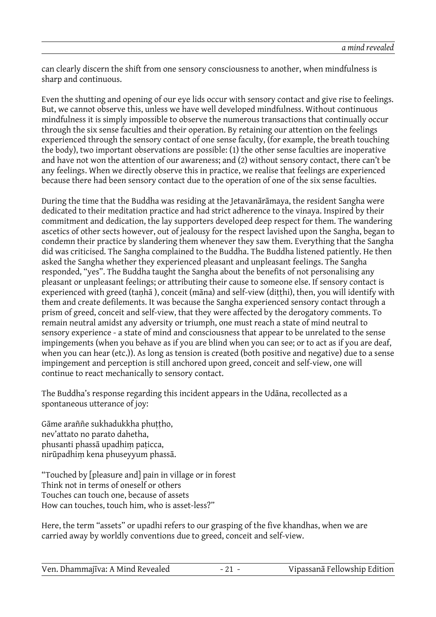can clearly discern the shift from one sensory consciousness to another, when mindfulness is sharp and continuous.

Even the shutting and opening of our eye lids occur with sensory contact and give rise to feelings. But, we cannot observe this, unless we have well developed mindfulness. Without continuous mindfulness it is simply impossible to observe the numerous transactions that continually occur through the six sense faculties and their operation. By retaining our attention on the feelings experienced through the sensory contact of one sense faculty, (for example, the breath touching the body), two important observations are possible: (1) the other sense faculties are inoperative and have not won the attention of our awareness; and (2) without sensory contact, there can't be any feelings. When we directly observe this in practice, we realise that feelings are experienced because there had been sensory contact due to the operation of one of the six sense faculties.

During the time that the Buddha was residing at the Jetavanārāmaya, the resident Sangha were dedicated to their meditation practice and had strict adherence to the vinaya. Inspired by their commitment and dedication, the lay supporters developed deep respect for them. The wandering ascetics of other sects however, out of jealousy for the respect lavished upon the Sangha, began to condemn their practice by slandering them whenever they saw them. Everything that the Sangha did was criticised. The Sangha complained to the Buddha. The Buddha listened patiently. He then asked the Sangha whether they experienced pleasant and unpleasant feelings. The Sangha responded, "yes". The Buddha taught the Sangha about the benefits of not personalising any pleasant or unpleasant feelings; or attributing their cause to someone else. If sensory contact is experienced with greed (tanhā), conceit (māna) and self-view (ditthi), then, you will identify with them and create defilements. It was because the Sangha experienced sensory contact through a prism of greed, conceit and self-view, that they were affected by the derogatory comments. To remain neutral amidst any adversity or triumph, one must reach a state of mind neutral to sensory experience - a state of mind and consciousness that appear to be unrelated to the sense impingements (when you behave as if you are blind when you can see; or to act as if you are deaf, when you can hear (etc.)). As long as tension is created (both positive and negative) due to a sense impingement and perception is still anchored upon greed, conceit and self-view, one will continue to react mechanically to sensory contact.

The Buddha's response regarding this incident appears in the Udāna, recollected as a spontaneous utterance of joy:

Gāme araññe sukhadukkha phuttho, nev'attato no parato dahetha, phusanti phassā upadhiṃ paṭicca, nirūpadhiṃ kena phuseyyum phassā.

"Touched by [pleasure and] pain in village or in forest Think not in terms of oneself or others Touches can touch one, because of assets How can touches, touch him, who is asset-less?"

Here, the term "assets" or upadhi refers to our grasping of the five khandhas, when we are carried away by worldly conventions due to greed, conceit and self-view.

| Ven. Dhammajīva: A Mind Revealed |  | Vipassanā Fellowship Edition |
|----------------------------------|--|------------------------------|
|----------------------------------|--|------------------------------|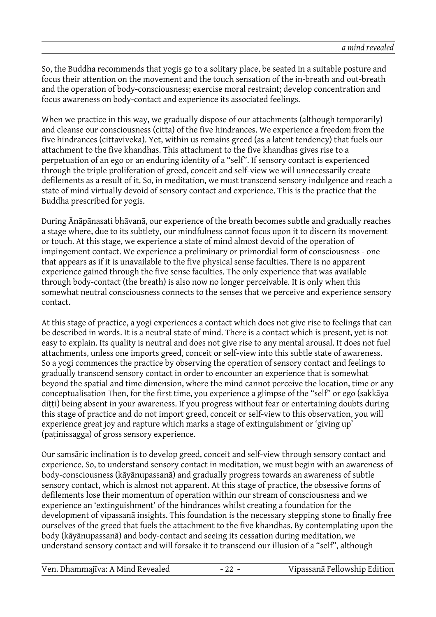So, the Buddha recommends that yogis go to a solitary place, be seated in a suitable posture and focus their attention on the movement and the touch sensation of the in-breath and out-breath and the operation of body-consciousness; exercise moral restraint; develop concentration and focus awareness on body-contact and experience its associated feelings.

When we practice in this way, we gradually dispose of our attachments (although temporarily) and cleanse our consciousness (citta) of the five hindrances. We experience a freedom from the five hindrances (cittaviveka). Yet, within us remains greed (as a latent tendency) that fuels our attachment to the five khandhas. This attachment to the five khandhas gives rise to a perpetuation of an ego or an enduring identity of a "self". If sensory contact is experienced through the triple proliferation of greed, conceit and self-view we will unnecessarily create defilements as a result of it. So, in meditation, we must transcend sensory indulgence and reach a state of mind virtually devoid of sensory contact and experience. This is the practice that the Buddha prescribed for yogis.

During Ānāpānasati bhāvanā, our experience of the breath becomes subtle and gradually reaches a stage where, due to its subtlety, our mindfulness cannot focus upon it to discern its movement or touch. At this stage, we experience a state of mind almost devoid of the operation of impingement contact. We experience a preliminary or primordial form of consciousness - one that appears as if it is unavailable to the five physical sense faculties. There is no apparent experience gained through the five sense faculties. The only experience that was available through body-contact (the breath) is also now no longer perceivable. It is only when this somewhat neutral consciousness connects to the senses that we perceive and experience sensory contact.

At this stage of practice, a yogi experiences a contact which does not give rise to feelings that can be described in words. It is a neutral state of mind. There is a contact which is present, yet is not easy to explain. Its quality is neutral and does not give rise to any mental arousal. It does not fuel attachments, unless one imports greed, conceit or self-view into this subtle state of awareness. So a yogi commences the practice by observing the operation of sensory contact and feelings to gradually transcend sensory contact in order to encounter an experience that is somewhat beyond the spatial and time dimension, where the mind cannot perceive the location, time or any conceptualisation Then, for the first time, you experience a glimpse of the "self" or ego (sakkāya dițți) being absent in your awareness. If you progress without fear or entertaining doubts during this stage of practice and do not import greed, conceit or self-view to this observation, you will experience great joy and rapture which marks a stage of extinguishment or 'giving up' (paṭinissagga) of gross sensory experience.

Our samsāric inclination is to develop greed, conceit and self-view through sensory contact and experience. So, to understand sensory contact in meditation, we must begin with an awareness of body-consciousness (kāyānupassanā) and gradually progress towards an awareness of subtle sensory contact, which is almost not apparent. At this stage of practice, the obsessive forms of defilements lose their momentum of operation within our stream of consciousness and we experience an 'extinguishment' of the hindrances whilst creating a foundation for the development of vipassanā insights. This foundation is the necessary stepping stone to finally free ourselves of the greed that fuels the attachment to the five khandhas. By contemplating upon the body (kāyānupassanā) and body-contact and seeing its cessation during meditation, we understand sensory contact and will forsake it to transcend our illusion of a "self", although

Ven. Dhammajīva: A Mind Revealed - 22 - Vipassanā Fellowship Edition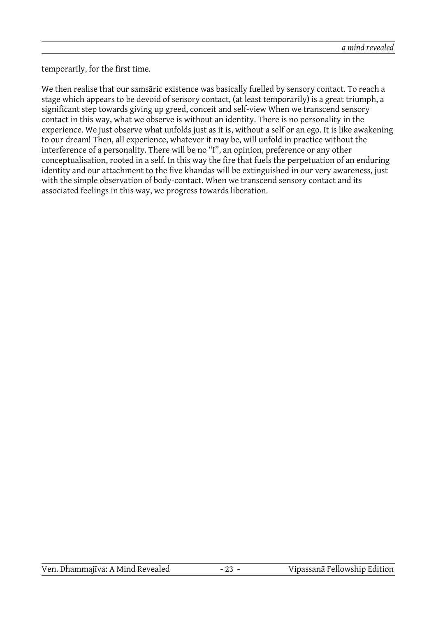temporarily, for the first time.

We then realise that our samsāric existence was basically fuelled by sensory contact. To reach a stage which appears to be devoid of sensory contact, (at least temporarily) is a great triumph, a significant step towards giving up greed, conceit and self-view When we transcend sensory contact in this way, what we observe is without an identity. There is no personality in the experience. We just observe what unfolds just as it is, without a self or an ego. It is like awakening to our dream! Then, all experience, whatever it may be, will unfold in practice without the interference of a personality. There will be no "I", an opinion, preference or any other conceptualisation, rooted in a self. In this way the fire that fuels the perpetuation of an enduring identity and our attachment to the five khandas will be extinguished in our very awareness, just with the simple observation of body-contact. When we transcend sensory contact and its associated feelings in this way, we progress towards liberation.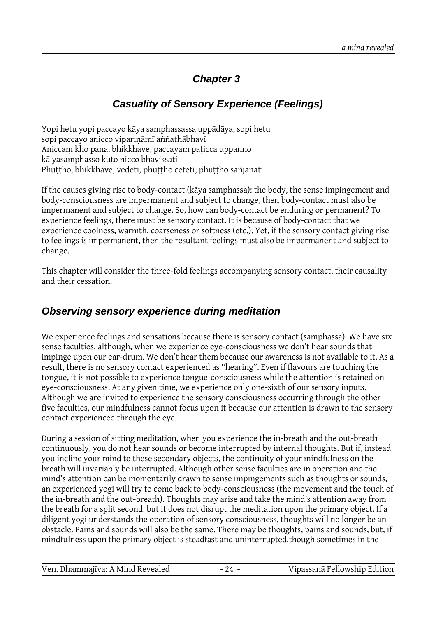## **Chapter 3**

### **Casuality of Sensory Experience (Feelings)**

Yopi hetu yopi paccayo kāya samphassassa uppādāya, sopi hetu sopi paccayo anicco vipariṇāmī aññathābhavī Aniccaṃ kho pana, bhikkhave, paccayaṃ paṭicca uppanno kā yasamphasso kuto nicco bhavissati Phuttho, bhikkhave, vedeti, phuttho ceteti, phuttho sañjānāti

If the causes giving rise to body-contact (kāya samphassa): the body, the sense impingement and body-consciousness are impermanent and subject to change, then body-contact must also be impermanent and subject to change. So, how can body-contact be enduring or permanent? To experience feelings, there must be sensory contact. It is because of body-contact that we experience coolness, warmth, coarseness or softness (etc.). Yet, if the sensory contact giving rise to feelings is impermanent, then the resultant feelings must also be impermanent and subject to change.

This chapter will consider the three-fold feelings accompanying sensory contact, their causality and their cessation.

#### **Observing sensory experience during meditation**

We experience feelings and sensations because there is sensory contact (samphassa). We have six sense faculties, although, when we experience eye-consciousness we don't hear sounds that impinge upon our ear-drum. We don't hear them because our awareness is not available to it. As a result, there is no sensory contact experienced as "hearing". Even if flavours are touching the tongue, it is not possible to experience tongue-consciousness while the attention is retained on eye-consciousness. At any given time, we experience only one-sixth of our sensory inputs. Although we are invited to experience the sensory consciousness occurring through the other five faculties, our mindfulness cannot focus upon it because our attention is drawn to the sensory contact experienced through the eye.

During a session of sitting meditation, when you experience the in-breath and the out-breath continuously, you do not hear sounds or become interrupted by internal thoughts. But if, instead, you incline your mind to these secondary objects, the continuity of your mindfulness on the breath will invariably be interrupted. Although other sense faculties are in operation and the mind's attention can be momentarily drawn to sense impingements such as thoughts or sounds, an experienced yogi will try to come back to body-consciousness (the movement and the touch of the in-breath and the out-breath). Thoughts may arise and take the mind's attention away from the breath for a split second, but it does not disrupt the meditation upon the primary object. If a diligent yogi understands the operation of sensory consciousness, thoughts will no longer be an obstacle. Pains and sounds will also be the same. There may be thoughts, pains and sounds, but, if mindfulness upon the primary object is steadfast and uninterrupted,though sometimes in the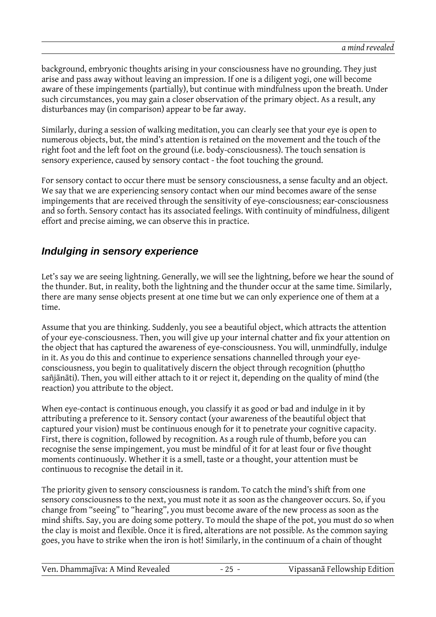background, embryonic thoughts arising in your consciousness have no grounding. They just arise and pass away without leaving an impression. If one is a diligent yogi, one will become aware of these impingements (partially), but continue with mindfulness upon the breath. Under such circumstances, you may gain a closer observation of the primary object. As a result, any disturbances may (in comparison) appear to be far away.

Similarly, during a session of walking meditation, you can clearly see that your eye is open to numerous objects, but, the mind's attention is retained on the movement and the touch of the right foot and the left foot on the ground (i.e. body-consciousness). The touch sensation is sensory experience, caused by sensory contact - the foot touching the ground.

For sensory contact to occur there must be sensory consciousness, a sense faculty and an object. We say that we are experiencing sensory contact when our mind becomes aware of the sense impingements that are received through the sensitivity of eye-consciousness; ear-consciousness and so forth. Sensory contact has its associated feelings. With continuity of mindfulness, diligent effort and precise aiming, we can observe this in practice.

### **Indulging in sensory experience**

Let's say we are seeing lightning. Generally, we will see the lightning, before we hear the sound of the thunder. But, in reality, both the lightning and the thunder occur at the same time. Similarly, there are many sense objects present at one time but we can only experience one of them at a time.

Assume that you are thinking. Suddenly, you see a beautiful object, which attracts the attention of your eye-consciousness. Then, you will give up your internal chatter and fix your attention on the object that has captured the awareness of eye-consciousness. You will, unmindfully, indulge in it. As you do this and continue to experience sensations channelled through your eyeconsciousness, you begin to qualitatively discern the object through recognition (phuttho sañjānāti). Then, you will either attach to it or reject it, depending on the quality of mind (the reaction) you attribute to the object.

When eye-contact is continuous enough, you classify it as good or bad and indulge in it by attributing a preference to it. Sensory contact (your awareness of the beautiful object that captured your vision) must be continuous enough for it to penetrate your cognitive capacity. First, there is cognition, followed by recognition. As a rough rule of thumb, before you can recognise the sense impingement, you must be mindful of it for at least four or five thought moments continuously. Whether it is a smell, taste or a thought, your attention must be continuous to recognise the detail in it.

The priority given to sensory consciousness is random. To catch the mind's shift from one sensory consciousness to the next, you must note it as soon as the changeover occurs. So, if you change from "seeing" to "hearing", you must become aware of the new process as soon as the mind shifts. Say, you are doing some pottery. To mould the shape of the pot, you must do so when the clay is moist and flexible. Once it is fired, alterations are not possible. As the common saying goes, you have to strike when the iron is hot! Similarly, in the continuum of a chain of thought

| Ven. Dhammajīva: A Mind Revealed | Vipassanā Fellowship Edition |
|----------------------------------|------------------------------|
|----------------------------------|------------------------------|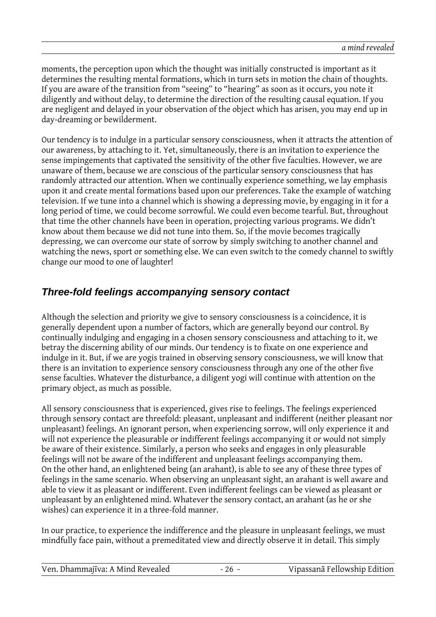moments, the perception upon which the thought was initially constructed is important as it determines the resulting mental formations, which in turn sets in motion the chain of thoughts. If you are aware of the transition from "seeing" to "hearing" as soon as it occurs, you note it diligently and without delay, to determine the direction of the resulting causal equation. If you are negligent and delayed in your observation of the object which has arisen, you may end up in day-dreaming or bewilderment.

Our tendency is to indulge in a particular sensory consciousness, when it attracts the attention of our awareness, by attaching to it. Yet, simultaneously, there is an invitation to experience the sense impingements that captivated the sensitivity of the other five faculties. However, we are unaware of them, because we are conscious of the particular sensory consciousness that has randomly attracted our attention. When we continually experience something, we lay emphasis upon it and create mental formations based upon our preferences. Take the example of watching television. If we tune into a channel which is showing a depressing movie, by engaging in it for a long period of time, we could become sorrowful. We could even become tearful. But, throughout that time the other channels have been in operation, projecting various programs. We didn't know about them because we did not tune into them. So, if the movie becomes tragically depressing, we can overcome our state of sorrow by simply switching to another channel and watching the news, sport or something else. We can even switch to the comedy channel to swiftly change our mood to one of laughter!

### **Three-fold feelings accompanying sensory contact**

Although the selection and priority we give to sensory consciousness is a coincidence, it is generally dependent upon a number of factors, which are generally beyond our control. By continually indulging and engaging in a chosen sensory consciousness and attaching to it, we betray the discerning ability of our minds. Our tendency is to fixate on one experience and indulge in it. But, if we are yogis trained in observing sensory consciousness, we will know that there is an invitation to experience sensory consciousness through any one of the other five sense faculties. Whatever the disturbance, a diligent yogi will continue with attention on the primary object, as much as possible.

All sensory consciousness that is experienced, gives rise to feelings. The feelings experienced through sensory contact are threefold: pleasant, unpleasant and indifferent (neither pleasant nor unpleasant) feelings. An ignorant person, when experiencing sorrow, will only experience it and will not experience the pleasurable or indifferent feelings accompanying it or would not simply be aware of their existence. Similarly, a person who seeks and engages in only pleasurable feelings will not be aware of the indifferent and unpleasant feelings accompanying them. On the other hand, an enlightened being (an arahant), is able to see any of these three types of feelings in the same scenario. When observing an unpleasant sight, an arahant is well aware and able to view it as pleasant or indifferent. Even indifferent feelings can be viewed as pleasant or unpleasant by an enlightened mind. Whatever the sensory contact, an arahant (as he or she wishes) can experience it in a three-fold manner.

In our practice, to experience the indifference and the pleasure in unpleasant feelings, we must mindfully face pain, without a premeditated view and directly observe it in detail. This simply

| Vipassanā Fellowship Edition<br>Ven. Dhammajīva: A Mind Revealed |
|------------------------------------------------------------------|
|------------------------------------------------------------------|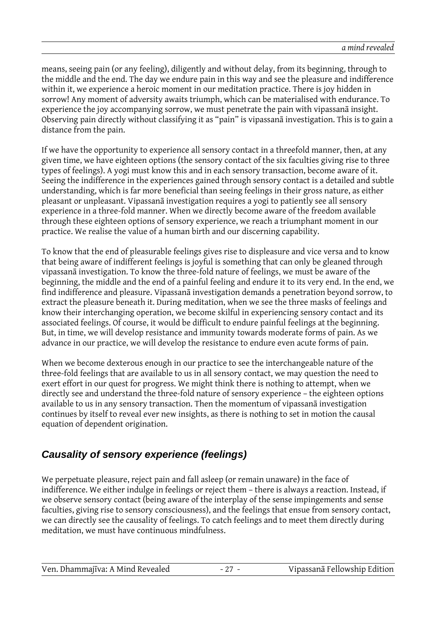means, seeing pain (or any feeling), diligently and without delay, from its beginning, through to the middle and the end. The day we endure pain in this way and see the pleasure and indifference within it, we experience a heroic moment in our meditation practice. There is joy hidden in sorrow! Any moment of adversity awaits triumph, which can be materialised with endurance. To experience the joy accompanying sorrow, we must penetrate the pain with vipassanā insight. Observing pain directly without classifying it as "pain" is vipassanā investigation. This is to gain a distance from the pain.

If we have the opportunity to experience all sensory contact in a threefold manner, then, at any given time, we have eighteen options (the sensory contact of the six faculties giving rise to three types of feelings). A yogi must know this and in each sensory transaction, become aware of it. Seeing the indifference in the experiences gained through sensory contact is a detailed and subtle understanding, which is far more beneficial than seeing feelings in their gross nature, as either pleasant or unpleasant. Vipassanā investigation requires a yogi to patiently see all sensory experience in a three-fold manner. When we directly become aware of the freedom available through these eighteen options of sensory experience, we reach a triumphant moment in our practice. We realise the value of a human birth and our discerning capability.

To know that the end of pleasurable feelings gives rise to displeasure and vice versa and to know that being aware of indifferent feelings is joyful is something that can only be gleaned through vipassanā investigation. To know the three-fold nature of feelings, we must be aware of the beginning, the middle and the end of a painful feeling and endure it to its very end. In the end, we find indifference and pleasure. Vipassanā investigation demands a penetration beyond sorrow, to extract the pleasure beneath it. During meditation, when we see the three masks of feelings and know their interchanging operation, we become skilful in experiencing sensory contact and its associated feelings. Of course, it would be difficult to endure painful feelings at the beginning. But, in time, we will develop resistance and immunity towards moderate forms of pain. As we advance in our practice, we will develop the resistance to endure even acute forms of pain.

When we become dexterous enough in our practice to see the interchangeable nature of the three-fold feelings that are available to us in all sensory contact, we may question the need to exert effort in our quest for progress. We might think there is nothing to attempt, when we directly see and understand the three-fold nature of sensory experience – the eighteen options available to us in any sensory transaction. Then the momentum of vipassanā investigation continues by itself to reveal ever new insights, as there is nothing to set in motion the causal equation of dependent origination.

## **Causality of sensory experience (feelings)**

We perpetuate pleasure, reject pain and fall asleep (or remain unaware) in the face of indifference. We either indulge in feelings or reject them – there is always a reaction. Instead, if we observe sensory contact (being aware of the interplay of the sense impingements and sense faculties, giving rise to sensory consciousness), and the feelings that ensue from sensory contact, we can directly see the causality of feelings. To catch feelings and to meet them directly during meditation, we must have continuous mindfulness.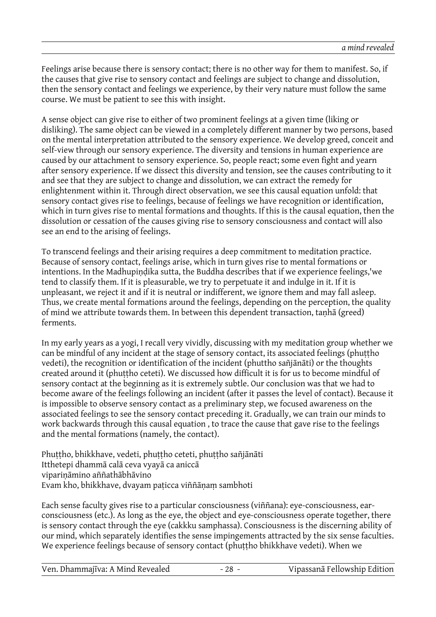Feelings arise because there is sensory contact; there is no other way for them to manifest. So, if the causes that give rise to sensory contact and feelings are subject to change and dissolution, then the sensory contact and feelings we experience, by their very nature must follow the same course. We must be patient to see this with insight.

A sense object can give rise to either of two prominent feelings at a given time (liking or disliking). The same object can be viewed in a completely different manner by two persons, based on the mental interpretation attributed to the sensory experience. We develop greed, conceit and self-view through our sensory experience. The diversity and tensions in human experience are caused by our attachment to sensory experience. So, people react; some even fight and yearn after sensory experience. If we dissect this diversity and tension, see the causes contributing to it and see that they are subject to change and dissolution, we can extract the remedy for enlightenment within it. Through direct observation, we see this causal equation unfold: that sensory contact gives rise to feelings, because of feelings we have recognition or identification, which in turn gives rise to mental formations and thoughts. If this is the causal equation, then the dissolution or cessation of the causes giving rise to sensory consciousness and contact will also see an end to the arising of feelings.

To transcend feelings and their arising requires a deep commitment to meditation practice. Because of sensory contact, feelings arise, which in turn gives rise to mental formations or intentions. In the Madhupindika sutta, the Buddha describes that if we experience feelings,'we tend to classify them. If it is pleasurable, we try to perpetuate it and indulge in it. If it is unpleasant, we reject it and if it is neutral or indifferent, we ignore them and may fall asleep. Thus, we create mental formations around the feelings, depending on the perception, the quality of mind we attribute towards them. In between this dependent transaction, tanhā (greed) ferments.

In my early years as a yogi, I recall very vividly, discussing with my meditation group whether we can be mindful of any incident at the stage of sensory contact, its associated feelings (phuttho vedeti), the recognition or identification of the incident (phuttho sañjānāti) or the thoughts created around it (phuttho ceteti). We discussed how difficult it is for us to become mindful of sensory contact at the beginning as it is extremely subtle. Our conclusion was that we had to become aware of the feelings following an incident (after it passes the level of contact). Because it is impossible to observe sensory contact as a preliminary step, we focused awareness on the associated feelings to see the sensory contact preceding it. Gradually, we can train our minds to work backwards through this causal equation , to trace the cause that gave rise to the feelings and the mental formations (namely, the contact).

Phuttho, bhikkhave, vedeti, phuttho ceteti, phuttho sañjānāti Itthetepi dhammā calā ceva vyayā ca aniccā vipariṇāmino aññathābhāvino Evam kho, bhikkhave, dvayam paṭicca viññāṇaṃ sambhoti

Each sense faculty gives rise to a particular consciousness (viññana): eye-consciousness, earconsciousness (etc.). As long as the eye, the object and eye-consciousness operate together, there is sensory contact through the eye (cakkku samphassa). Consciousness is the discerning ability of our mind, which separately identifies the sense impingements attracted by the six sense faculties. We experience feelings because of sensory contact (phuṭṭho bhikkhave vedeti). When we

Ven. Dhammajīva: A Mind Revealed - 28 - Vipassanā Fellowship Edition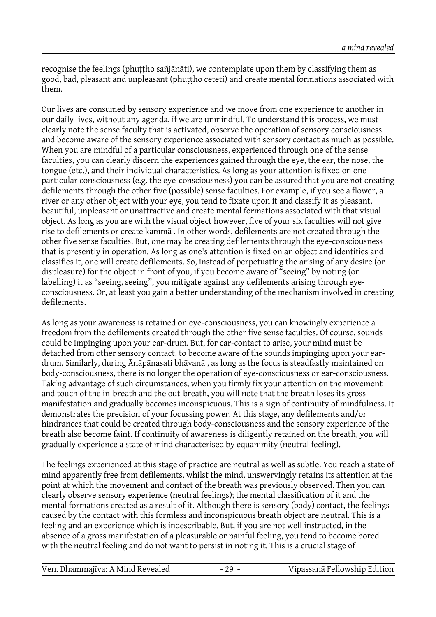recognise the feelings (phuttho sañjānāti), we contemplate upon them by classifying them as good, bad, pleasant and unpleasant (phuttho ceteti) and create mental formations associated with them.

Our lives are consumed by sensory experience and we move from one experience to another in our daily lives, without any agenda, if we are unmindful. To understand this process, we must clearly note the sense faculty that is activated, observe the operation of sensory consciousness and become aware of the sensory experience associated with sensory contact as much as possible. When you are mindful of a particular consciousness, experienced through one of the sense faculties, you can clearly discern the experiences gained through the eye, the ear, the nose, the tongue (etc.), and their individual characteristics. As long as your attention is fixed on one particular consciousness (e.g. the eye-consciousness) you can be assured that you are not creating defilements through the other five (possible) sense faculties. For example, if you see a flower, a river or any other object with your eye, you tend to fixate upon it and classify it as pleasant, beautiful, unpleasant or unattractive and create mental formations associated with that visual object. As long as you are with the visual object however, five of your six faculties will not give rise to defilements or create kammā . In other words, defilements are not created through the other five sense faculties. But, one may be creating defilements through the eye-consciousness that is presently in operation. As long as one's attention is fixed on an object and identifies and classifies it, one will create defilements. So, instead of perpetuating the arising of any desire (or displeasure) for the object in front of you, if you become aware of "seeing" by noting (or labelling) it as "seeing, seeing", you mitigate against any defilements arising through eyeconsciousness. Or, at least you gain a better understanding of the mechanism involved in creating defilements.

As long as your awareness is retained on eye-consciousness, you can knowingly experience a freedom from the defilements created through the other five sense faculties. Of course, sounds could be impinging upon your ear-drum. But, for ear-contact to arise, your mind must be detached from other sensory contact, to become aware of the sounds impinging upon your eardrum. Similarly, during Ānāpānasati bhāvanā , as long as the focus is steadfastly maintained on body-consciousness, there is no longer the operation of eye-consciousness or ear-consciousness. Taking advantage of such circumstances, when you firmly fix your attention on the movement and touch of the in-breath and the out-breath, you will note that the breath loses its gross manifestation and gradually becomes inconspicuous. This is a sign of continuity of mindfulness. It demonstrates the precision of your focussing power. At this stage, any defilements and/or hindrances that could be created through body-consciousness and the sensory experience of the breath also become faint. If continuity of awareness is diligently retained on the breath, you will gradually experience a state of mind characterised by equanimity (neutral feeling).

The feelings experienced at this stage of practice are neutral as well as subtle. You reach a state of mind apparently free from defilements, whilst the mind, unswervingly retains its attention at the point at which the movement and contact of the breath was previously observed. Then you can clearly observe sensory experience (neutral feelings); the mental classification of it and the mental formations created as a result of it. Although there is sensory (body) contact, the feelings caused by the contact with this formless and inconspicuous breath object are neutral. This is a feeling and an experience which is indescribable. But, if you are not well instructed, in the absence of a gross manifestation of a pleasurable or painful feeling, you tend to become bored with the neutral feeling and do not want to persist in noting it. This is a crucial stage of

| Ven. Dhammajīva: A Mind Revealed |
|----------------------------------|
|                                  |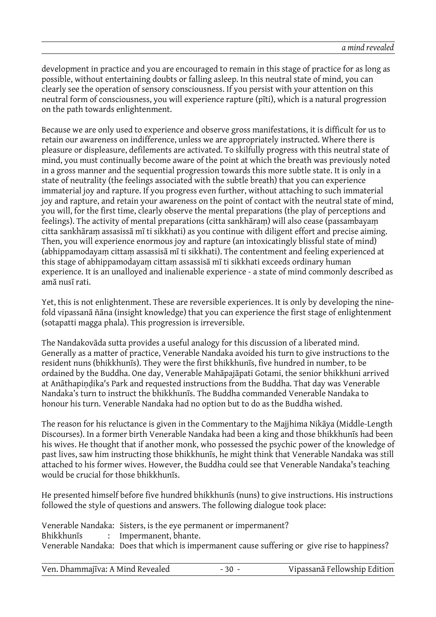development in practice and you are encouraged to remain in this stage of practice for as long as possible, without entertaining doubts or falling asleep. In this neutral state of mind, you can clearly see the operation of sensory consciousness. If you persist with your attention on this neutral form of consciousness, you will experience rapture (pīti), which is a natural progression on the path towards enlightenment.

Because we are only used to experience and observe gross manifestations, it is difficult for us to retain our awareness on indifference, unless we are appropriately instructed. Where there is pleasure or displeasure, defilements are activated. To skilfully progress with this neutral state of mind, you must continually become aware of the point at which the breath was previously noted in a gross manner and the sequential progression towards this more subtle state. It is only in a state of neutrality (the feelings associated with the subtle breath) that you can experience immaterial joy and rapture. If you progress even further, without attaching to such immaterial joy and rapture, and retain your awareness on the point of contact with the neutral state of mind, you will, for the first time, clearly observe the mental preparations (the play of perceptions and feelings). The activity of mental preparations (citta sankhāraṃ) will also cease (passambayaṃ citta sankhāraṃ assasissā mī ti sikkhati) as you continue with diligent effort and precise aiming. Then, you will experience enormous joy and rapture (an intoxicatingly blissful state of mind) (abhippamodayaṃ cittaṃ assassisā mī ti sikkhati). The contentment and feeling experienced at this stage of abhippamodayaṃ cittaṃ assassisā mī ti sikkhati exceeds ordinary human experience. It is an unalloyed and inalienable experience - a state of mind commonly described as amā nusī rati.

Yet, this is not enlightenment. These are reversible experiences. It is only by developing the ninefold vipassanā ñāna (insight knowledge) that you can experience the first stage of enlightenment (sotapatti magga phala). This progression is irreversible.

The Nandakovāda sutta provides a useful analogy for this discussion of a liberated mind. Generally as a matter of practice, Venerable Nandaka avoided his turn to give instructions to the resident nuns (bhikkhunīs). They were the first bhikkhunīs, five hundred in number, to be ordained by the Buddha. One day, Venerable Mahāpajāpati Gotami, the senior bhikkhuni arrived at Anāthapiṇḍika's Park and requested instructions from the Buddha. That day was Venerable Nandaka's turn to instruct the bhikkhunīs. The Buddha commanded Venerable Nandaka to honour his turn. Venerable Nandaka had no option but to do as the Buddha wished.

The reason for his reluctance is given in the Commentary to the Majjhima Nikāya (Middle-Length Discourses). In a former birth Venerable Nandaka had been a king and those bhikkhunīs had been his wives. He thought that if another monk, who possessed the psychic power of the knowledge of past lives, saw him instructing those bhikkhunīs, he might think that Venerable Nandaka was still attached to his former wives. However, the Buddha could see that Venerable Nandaka's teaching would be crucial for those bhikkhunīs.

He presented himself before five hundred bhikkhunīs (nuns) to give instructions. His instructions followed the style of questions and answers. The following dialogue took place:

| Venerable Nandaka: Sisters, is the eye permanent or impermanent?                             |
|----------------------------------------------------------------------------------------------|
| Bhikkhunis : Impermanent, bhante.                                                            |
| Venerable Nandaka: Does that which is impermanent cause suffering or give rise to happiness? |

| Ven. Dhammajīva: A Mind Revealed | Vipassanā Fellowship Edition |
|----------------------------------|------------------------------|
|                                  |                              |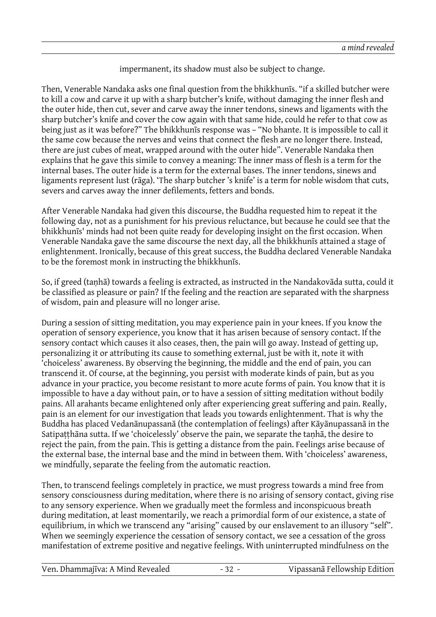impermanent, its shadow must also be subject to change.

Then, Venerable Nandaka asks one final question from the bhikkhunīs. "if a skilled butcher were to kill a cow and carve it up with a sharp butcher's knife, without damaging the inner flesh and the outer hide, then cut, sever and carve away the inner tendons, sinews and ligaments with the sharp butcher's knife and cover the cow again with that same hide, could he refer to that cow as being just as it was before?" The bhikkhunīs response was – "No bhante. It is impossible to call it the same cow because the nerves and veins that connect the flesh are no longer there. Instead, there are just cubes of meat, wrapped around with the outer hide". Venerable Nandaka then explains that he gave this simile to convey a meaning: The inner mass of flesh is a term for the internal bases. The outer hide is a term for the external bases. The inner tendons, sinews and ligaments represent lust (rāga). 'The sharp butcher 's knife' is a term for noble wisdom that cuts, severs and carves away the inner defilements, fetters and bonds.

After Venerable Nandaka had given this discourse, the Buddha requested him to repeat it the following day, not as a punishment for his previous reluctance, but because he could see that the bhikkhunīs' minds had not been quite ready for developing insight on the first occasion. When Venerable Nandaka gave the same discourse the next day, all the bhikkhunīs attained a stage of enlightenment. Ironically, because of this great success, the Buddha declared Venerable Nandaka to be the foremost monk in instructing the bhikkhunīs.

So, if greed (taṇhā) towards a feeling is extracted, as instructed in the Nandakovāda sutta, could it be classified as pleasure or pain? If the feeling and the reaction are separated with the sharpness of wisdom, pain and pleasure will no longer arise.

During a session of sitting meditation, you may experience pain in your knees. If you know the operation of sensory experience, you know that it has arisen because of sensory contact. If the sensory contact which causes it also ceases, then, the pain will go away. Instead of getting up, personalizing it or attributing its cause to something external, just be with it, note it with 'choiceless' awareness. By observing the beginning, the middle and the end of pain, you can transcend it. Of course, at the beginning, you persist with moderate kinds of pain, but as you advance in your practice, you become resistant to more acute forms of pain. You know that it is impossible to have a day without pain, or to have a session of sitting meditation without bodily pains. All arahants became enlightened only after experiencing great suffering and pain. Really, pain is an element for our investigation that leads you towards enlightenment. That is why the Buddha has placed Vedanānupassanā (the contemplation of feelings) after Kāyānupassanā in the Satipaṭṭhāna sutta. If we 'choicelessly' observe the pain, we separate the taṇhā, the desire to reject the pain, from the pain. This is getting a distance from the pain. Feelings arise because of the external base, the internal base and the mind in between them. With 'choiceless' awareness, we mindfully, separate the feeling from the automatic reaction.

Then, to transcend feelings completely in practice, we must progress towards a mind free from sensory consciousness during meditation, where there is no arising of sensory contact, giving rise to any sensory experience. When we gradually meet the formless and inconspicuous breath during meditation, at least momentarily, we reach a primordial form of our existence, a state of equilibrium, in which we transcend any "arising" caused by our enslavement to an illusory "self". When we seemingly experience the cessation of sensory contact, we see a cessation of the gross manifestation of extreme positive and negative feelings. With uninterrupted mindfulness on the

| Ven. Dhammajīva: A Mind Revealed | Vipassanā Fellowship Edition |
|----------------------------------|------------------------------|
|                                  |                              |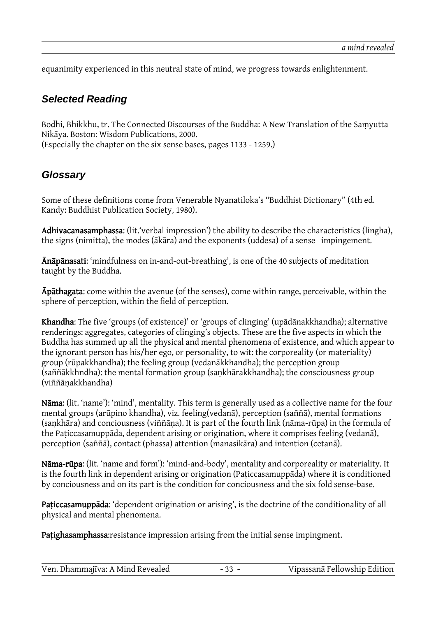equanimity experienced in this neutral state of mind, we progress towards enlightenment.

#### **Selected Reading**

Bodhi, Bhikkhu, tr. The Connected Discourses of the Buddha: A New Translation of the Saṃyutta Nikāya. Boston: Wisdom Publications, 2000. (Especially the chapter on the six sense bases, pages 1133 - 1259.)

#### **Glossary**

Some of these definitions come from Venerable Nyanatiloka's "Buddhist Dictionary" (4th ed. Kandy: Buddhist Publication Society, 1980).

Adhivacanasamphassa: (lit.'verbal impression') the ability to describe the characteristics (lingha), the signs (nimitta), the modes (ākāra) and the exponents (uddesa) of a sense impingement.

**Ānāpānasati:** 'mindfulness on in-and-out-breathing', is one of the 40 subjects of meditation taught by the Buddha.

Apathagata: come within the avenue (of the senses), come within range, perceivable, within the sphere of perception, within the field of perception.

Khandha: The five 'groups (of existence)' or 'groups of clinging' (upādānakkhandha); alternative renderings: aggregates, categories of clinging's objects. These are the five aspects in which the Buddha has summed up all the physical and mental phenomena of existence, and which appear to the ignorant person has his/her ego, or personality, to wit: the corporeality (or materiality) group (rūpakkhandha); the feeling group (vedanākkhandha); the perception group (saññākkhndha): the mental formation group (saṇkhārakkhandha); the consciousness group (viññāṇakkhandha)

Nāma: (lit. 'name'): 'mind', mentality. This term is generally used as a collective name for the four mental groups (arūpino khandha), viz. feeling(vedanā), perception (saññā), mental formations (saṇkhāra) and conciousness (viññāṇa). It is part of the fourth link (nāma-rūpa) in the formula of the Paṭiccasamuppāda, dependent arising or origination, where it comprises feeling (vedanā), perception (saññā), contact (phassa) attention (manasikāra) and intention (cetanā).

Nāma-rūpa: (lit. 'name and form'): 'mind-and-body', mentality and corporeality or materiality. It is the fourth link in dependent arising or origination (Paṭiccasamuppāda) where it is conditioned by conciousness and on its part is the condition for conciousness and the six fold sense-base.

Paticcasamuppāda: 'dependent origination or arising', is the doctrine of the conditionality of all physical and mental phenomena.

Patighasamphassa: resistance impression arising from the initial sense impingment.

| Ven. Dhammajīva: A Mind Revealed | $-33 -$ | Vipassanā Fellowship Edition |
|----------------------------------|---------|------------------------------|
|----------------------------------|---------|------------------------------|